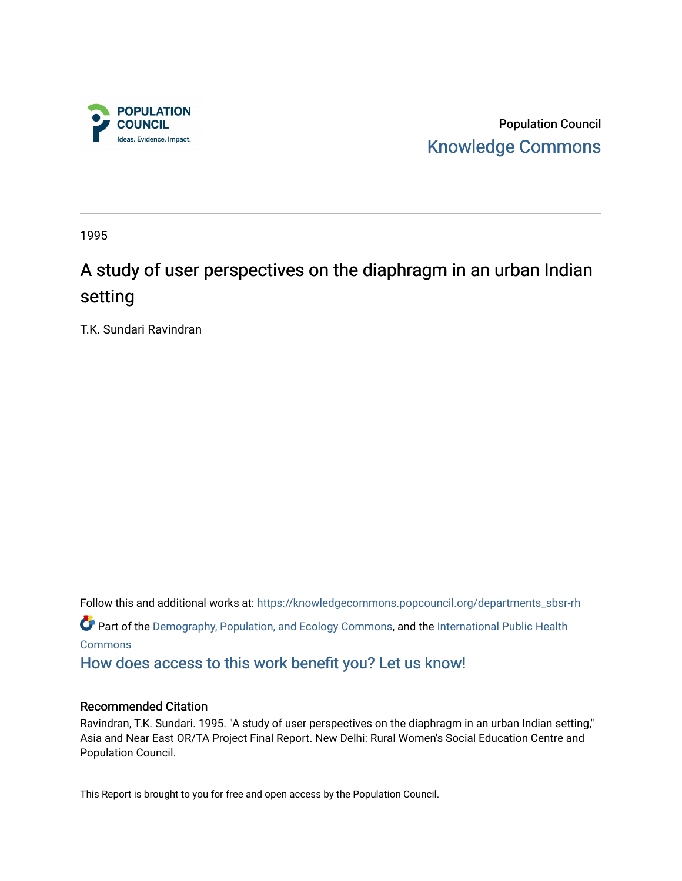

Population Council [Knowledge Commons](https://knowledgecommons.popcouncil.org/) 

1995

# A study of user perspectives on the diaphragm in an urban Indian setting

T.K. Sundari Ravindran

Follow this and additional works at: [https://knowledgecommons.popcouncil.org/departments\\_sbsr-rh](https://knowledgecommons.popcouncil.org/departments_sbsr-rh?utm_source=knowledgecommons.popcouncil.org%2Fdepartments_sbsr-rh%2F2097&utm_medium=PDF&utm_campaign=PDFCoverPages)  Part of the [Demography, Population, and Ecology Commons,](https://network.bepress.com/hgg/discipline/418?utm_source=knowledgecommons.popcouncil.org%2Fdepartments_sbsr-rh%2F2097&utm_medium=PDF&utm_campaign=PDFCoverPages) and the International Public Health [Commons](https://network.bepress.com/hgg/discipline/746?utm_source=knowledgecommons.popcouncil.org%2Fdepartments_sbsr-rh%2F2097&utm_medium=PDF&utm_campaign=PDFCoverPages) [How does access to this work benefit you? Let us know!](https://pcouncil.wufoo.com/forms/open-access-to-population-council-research/)

#### Recommended Citation

Ravindran, T.K. Sundari. 1995. "A study of user perspectives on the diaphragm in an urban Indian setting," Asia and Near East OR/TA Project Final Report. New Delhi: Rural Women's Social Education Centre and Population Council.

This Report is brought to you for free and open access by the Population Council.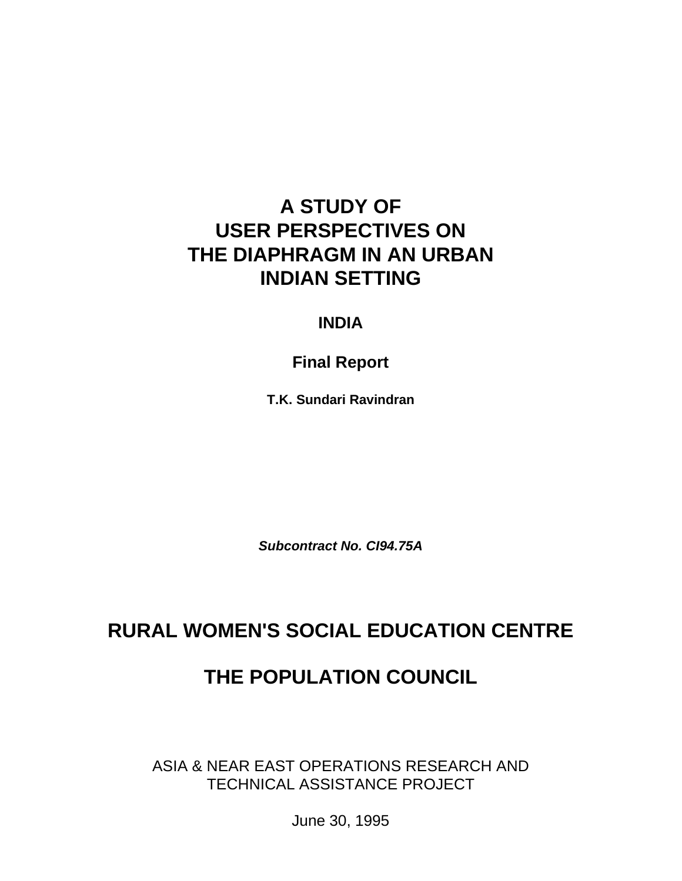# **A STUDY OF USER PERSPECTIVES ON THE DIAPHRAGM IN AN URBAN INDIAN SETTING**

## **INDIA**

**Final Report**

**T.K. Sundari Ravindran**

*Subcontract No. CI94.75A*

## **RURAL WOMEN'S SOCIAL EDUCATION CENTRE**

## **THE POPULATION COUNCIL**

ASIA & NEAR EAST OPERATIONS RESEARCH AND TECHNICAL ASSISTANCE PROJECT

June 30, 1995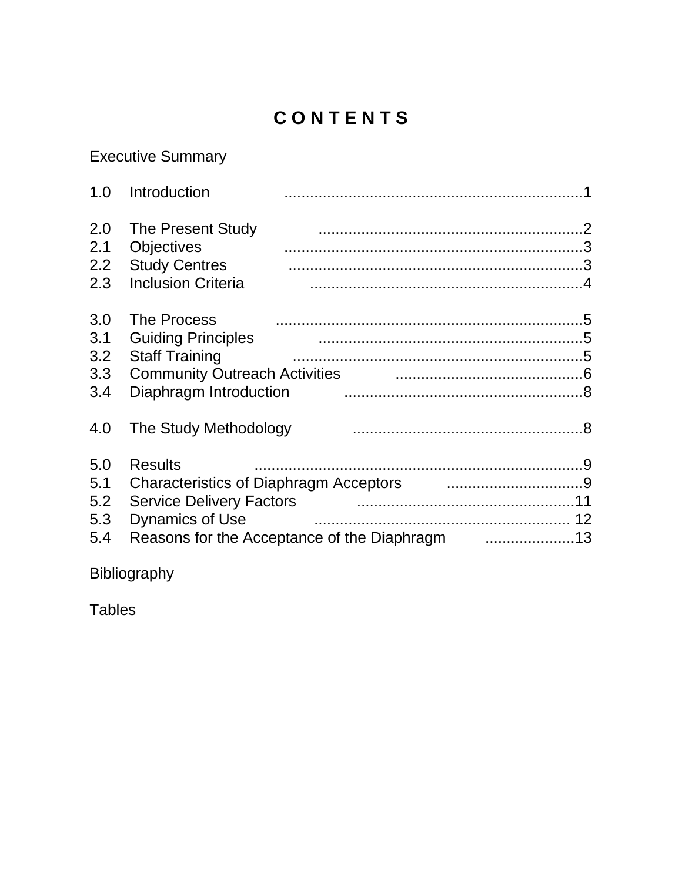# CONTENTS

## **Executive Summary**

| 1.0                             | Introduction                                                                                                                                                              |
|---------------------------------|---------------------------------------------------------------------------------------------------------------------------------------------------------------------------|
| 2.0<br>2.1<br>2.2<br>2.3        | The Present Study<br><b>Objectives</b><br><b>Study Centres</b><br><b>Inclusion Criteria</b>                                                                               |
| 3.0<br>3.1<br>3.2<br>3.3<br>3.4 | <b>The Process</b><br><b>Guiding Principles</b><br><b>Staff Training</b><br>Community Outreach Activities <b>community</b> Outreach Activities<br>Diaphragm Introduction  |
| 4.0                             | The Study Methodology                                                                                                                                                     |
| 5.0<br>5.1<br>5.2<br>5.3<br>5.4 | <b>Results</b><br>Characteristics of Diaphragm Acceptors [1,1,1,1,1,1,1,1,1,1,1,1,1,1,1,1,1,1,9]<br><b>Service Delivery Factors</b><br><b>Dynamics of Use</b><br>12<br>13 |

Bibliography

**Tables**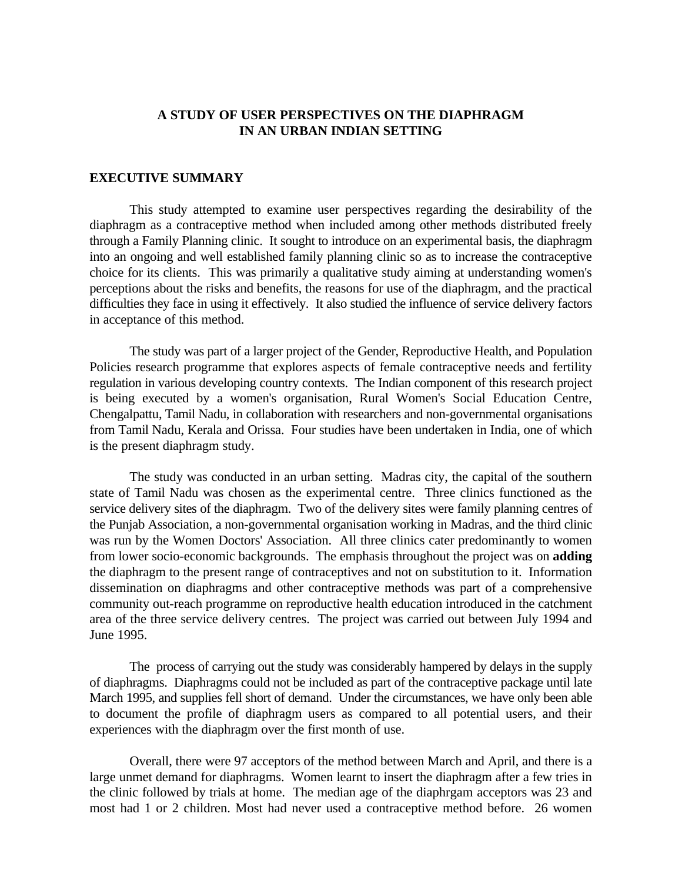#### **A STUDY OF USER PERSPECTIVES ON THE DIAPHRAGM IN AN URBAN INDIAN SETTING**

#### **EXECUTIVE SUMMARY**

This study attempted to examine user perspectives regarding the desirability of the diaphragm as a contraceptive method when included among other methods distributed freely through a Family Planning clinic. It sought to introduce on an experimental basis, the diaphragm into an ongoing and well established family planning clinic so as to increase the contraceptive choice for its clients. This was primarily a qualitative study aiming at understanding women's perceptions about the risks and benefits, the reasons for use of the diaphragm, and the practical difficulties they face in using it effectively. It also studied the influence of service delivery factors in acceptance of this method.

The study was part of a larger project of the Gender, Reproductive Health, and Population Policies research programme that explores aspects of female contraceptive needs and fertility regulation in various developing country contexts. The Indian component of this research project is being executed by a women's organisation, Rural Women's Social Education Centre, Chengalpattu, Tamil Nadu, in collaboration with researchers and non-governmental organisations from Tamil Nadu, Kerala and Orissa. Four studies have been undertaken in India, one of which is the present diaphragm study.

The study was conducted in an urban setting. Madras city, the capital of the southern state of Tamil Nadu was chosen as the experimental centre. Three clinics functioned as the service delivery sites of the diaphragm. Two of the delivery sites were family planning centres of the Punjab Association, a non-governmental organisation working in Madras, and the third clinic was run by the Women Doctors' Association. All three clinics cater predominantly to women from lower socio-economic backgrounds. The emphasis throughout the project was on **adding** the diaphragm to the present range of contraceptives and not on substitution to it. Information dissemination on diaphragms and other contraceptive methods was part of a comprehensive community out-reach programme on reproductive health education introduced in the catchment area of the three service delivery centres. The project was carried out between July 1994 and June 1995.

The process of carrying out the study was considerably hampered by delays in the supply of diaphragms. Diaphragms could not be included as part of the contraceptive package until late March 1995, and supplies fell short of demand. Under the circumstances, we have only been able to document the profile of diaphragm users as compared to all potential users, and their experiences with the diaphragm over the first month of use.

Overall, there were 97 acceptors of the method between March and April, and there is a large unmet demand for diaphragms. Women learnt to insert the diaphragm after a few tries in the clinic followed by trials at home. The median age of the diaphrgam acceptors was 23 and most had 1 or 2 children. Most had never used a contraceptive method before. 26 women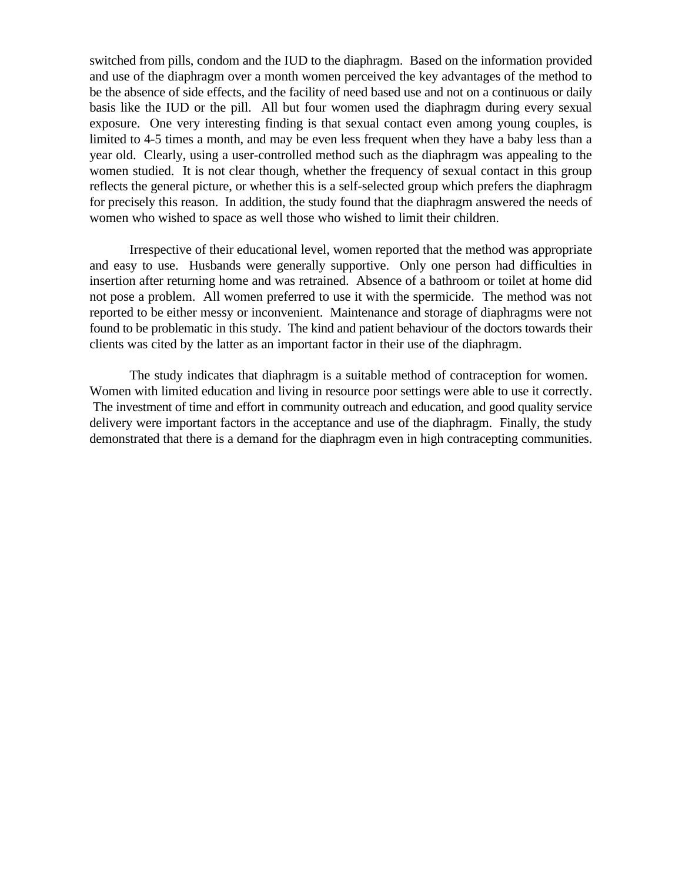switched from pills, condom and the IUD to the diaphragm. Based on the information provided and use of the diaphragm over a month women perceived the key advantages of the method to be the absence of side effects, and the facility of need based use and not on a continuous or daily basis like the IUD or the pill. All but four women used the diaphragm during every sexual exposure. One very interesting finding is that sexual contact even among young couples, is limited to 4-5 times a month, and may be even less frequent when they have a baby less than a year old. Clearly, using a user-controlled method such as the diaphragm was appealing to the women studied. It is not clear though, whether the frequency of sexual contact in this group reflects the general picture, or whether this is a self-selected group which prefers the diaphragm for precisely this reason. In addition, the study found that the diaphragm answered the needs of women who wished to space as well those who wished to limit their children.

Irrespective of their educational level, women reported that the method was appropriate and easy to use. Husbands were generally supportive. Only one person had difficulties in insertion after returning home and was retrained. Absence of a bathroom or toilet at home did not pose a problem. All women preferred to use it with the spermicide. The method was not reported to be either messy or inconvenient. Maintenance and storage of diaphragms were not found to be problematic in this study. The kind and patient behaviour of the doctors towards their clients was cited by the latter as an important factor in their use of the diaphragm.

The study indicates that diaphragm is a suitable method of contraception for women. Women with limited education and living in resource poor settings were able to use it correctly. The investment of time and effort in community outreach and education, and good quality service delivery were important factors in the acceptance and use of the diaphragm. Finally, the study demonstrated that there is a demand for the diaphragm even in high contracepting communities.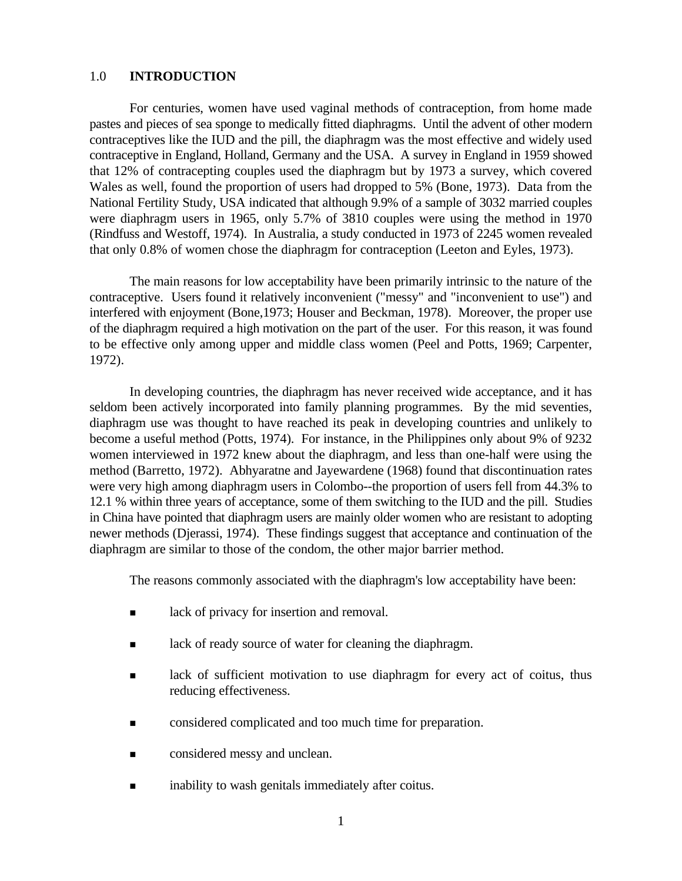#### 1.0 **INTRODUCTION**

For centuries, women have used vaginal methods of contraception, from home made pastes and pieces of sea sponge to medically fitted diaphragms. Until the advent of other modern contraceptives like the IUD and the pill, the diaphragm was the most effective and widely used contraceptive in England, Holland, Germany and the USA. A survey in England in 1959 showed that 12% of contracepting couples used the diaphragm but by 1973 a survey, which covered Wales as well, found the proportion of users had dropped to 5% (Bone, 1973). Data from the National Fertility Study, USA indicated that although 9.9% of a sample of 3032 married couples were diaphragm users in 1965, only 5.7% of 3810 couples were using the method in 1970 (Rindfuss and Westoff, 1974). In Australia, a study conducted in 1973 of 2245 women revealed that only 0.8% of women chose the diaphragm for contraception (Leeton and Eyles, 1973).

The main reasons for low acceptability have been primarily intrinsic to the nature of the contraceptive. Users found it relatively inconvenient ("messy" and "inconvenient to use") and interfered with enjoyment (Bone,1973; Houser and Beckman, 1978). Moreover, the proper use of the diaphragm required a high motivation on the part of the user. For this reason, it was found to be effective only among upper and middle class women (Peel and Potts, 1969; Carpenter, 1972).

In developing countries, the diaphragm has never received wide acceptance, and it has seldom been actively incorporated into family planning programmes. By the mid seventies, diaphragm use was thought to have reached its peak in developing countries and unlikely to become a useful method (Potts, 1974). For instance, in the Philippines only about 9% of 9232 women interviewed in 1972 knew about the diaphragm, and less than one-half were using the method (Barretto, 1972). Abhyaratne and Jayewardene (1968) found that discontinuation rates were very high among diaphragm users in Colombo--the proportion of users fell from 44.3% to 12.1 % within three years of acceptance, some of them switching to the IUD and the pill. Studies in China have pointed that diaphragm users are mainly older women who are resistant to adopting newer methods (Djerassi, 1974). These findings suggest that acceptance and continuation of the diaphragm are similar to those of the condom, the other major barrier method.

The reasons commonly associated with the diaphragm's low acceptability have been:

- **n** lack of privacy for insertion and removal.
- **n** lack of ready source of water for cleaning the diaphragm.
- **n** lack of sufficient motivation to use diaphragm for every act of coitus, thus reducing effectiveness.
- <sup>n</sup> considered complicated and too much time for preparation.
- **n** considered messy and unclean.
- **n** inability to wash genitals immediately after coitus.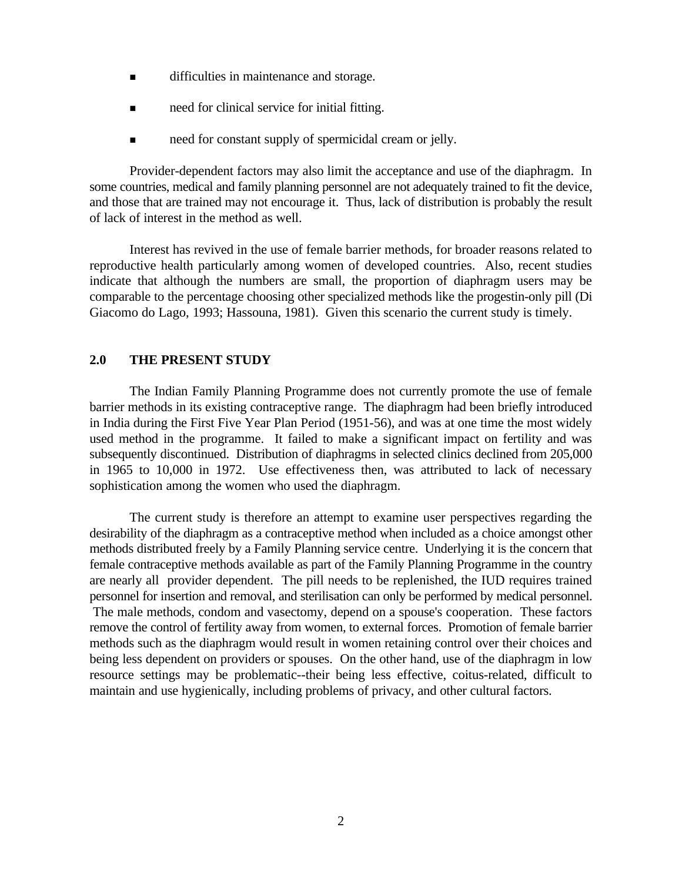- $\blacksquare$  difficulties in maintenance and storage.
- need for clinical service for initial fitting.
- need for constant supply of spermicidal cream or jelly.

Provider-dependent factors may also limit the acceptance and use of the diaphragm. In some countries, medical and family planning personnel are not adequately trained to fit the device, and those that are trained may not encourage it. Thus, lack of distribution is probably the result of lack of interest in the method as well.

Interest has revived in the use of female barrier methods, for broader reasons related to reproductive health particularly among women of developed countries. Also, recent studies indicate that although the numbers are small, the proportion of diaphragm users may be comparable to the percentage choosing other specialized methods like the progestin-only pill (Di Giacomo do Lago, 1993; Hassouna, 1981). Given this scenario the current study is timely.

#### **2.0 THE PRESENT STUDY**

The Indian Family Planning Programme does not currently promote the use of female barrier methods in its existing contraceptive range. The diaphragm had been briefly introduced in India during the First Five Year Plan Period (1951-56), and was at one time the most widely used method in the programme. It failed to make a significant impact on fertility and was subsequently discontinued. Distribution of diaphragms in selected clinics declined from 205,000 in 1965 to 10,000 in 1972. Use effectiveness then, was attributed to lack of necessary sophistication among the women who used the diaphragm.

The current study is therefore an attempt to examine user perspectives regarding the desirability of the diaphragm as a contraceptive method when included as a choice amongst other methods distributed freely by a Family Planning service centre. Underlying it is the concern that female contraceptive methods available as part of the Family Planning Programme in the country are nearly all provider dependent. The pill needs to be replenished, the IUD requires trained personnel for insertion and removal, and sterilisation can only be performed by medical personnel. The male methods, condom and vasectomy, depend on a spouse's cooperation. These factors remove the control of fertility away from women, to external forces. Promotion of female barrier methods such as the diaphragm would result in women retaining control over their choices and being less dependent on providers or spouses. On the other hand, use of the diaphragm in low resource settings may be problematic--their being less effective, coitus-related, difficult to maintain and use hygienically, including problems of privacy, and other cultural factors.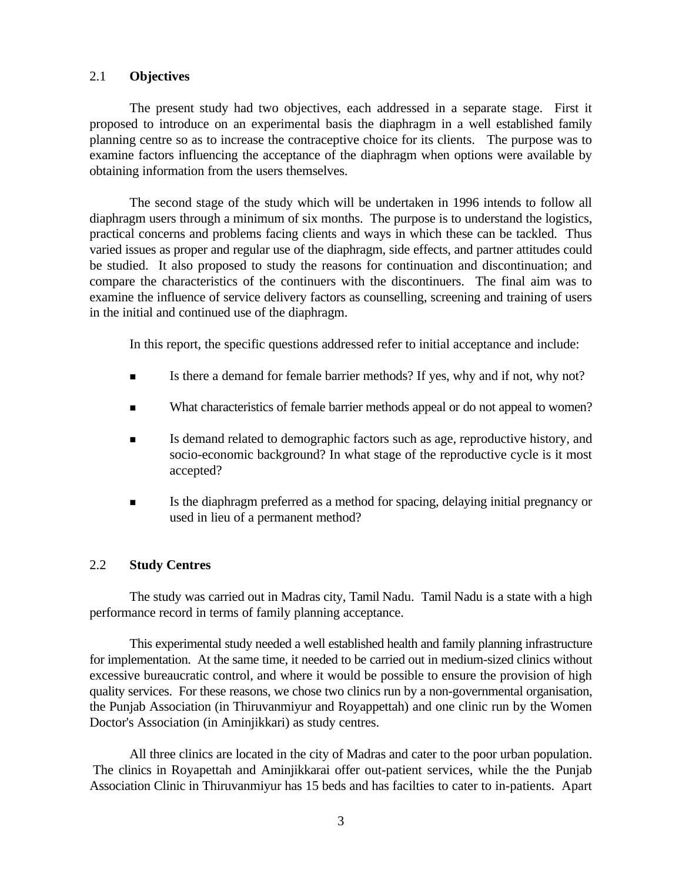#### 2.1 **Objectives**

The present study had two objectives, each addressed in a separate stage. First it proposed to introduce on an experimental basis the diaphragm in a well established family planning centre so as to increase the contraceptive choice for its clients. The purpose was to examine factors influencing the acceptance of the diaphragm when options were available by obtaining information from the users themselves.

The second stage of the study which will be undertaken in 1996 intends to follow all diaphragm users through a minimum of six months. The purpose is to understand the logistics, practical concerns and problems facing clients and ways in which these can be tackled. Thus varied issues as proper and regular use of the diaphragm, side effects, and partner attitudes could be studied. It also proposed to study the reasons for continuation and discontinuation; and compare the characteristics of the continuers with the discontinuers. The final aim was to examine the influence of service delivery factors as counselling, screening and training of users in the initial and continued use of the diaphragm.

In this report, the specific questions addressed refer to initial acceptance and include:

- Is there a demand for female barrier methods? If yes, why and if not, why not?
- <sup>n</sup> What characteristics of female barrier methods appeal or do not appeal to women?
- <sup>n</sup> Is demand related to demographic factors such as age, reproductive history, and socio-economic background? In what stage of the reproductive cycle is it most accepted?
- <sup>n</sup> Is the diaphragm preferred as a method for spacing, delaying initial pregnancy or used in lieu of a permanent method?

#### 2.2 **Study Centres**

The study was carried out in Madras city, Tamil Nadu. Tamil Nadu is a state with a high performance record in terms of family planning acceptance.

This experimental study needed a well established health and family planning infrastructure for implementation. At the same time, it needed to be carried out in medium-sized clinics without excessive bureaucratic control, and where it would be possible to ensure the provision of high quality services. For these reasons, we chose two clinics run by a non-governmental organisation, the Punjab Association (in Thiruvanmiyur and Royappettah) and one clinic run by the Women Doctor's Association (in Aminjikkari) as study centres.

All three clinics are located in the city of Madras and cater to the poor urban population. The clinics in Royapettah and Aminjikkarai offer out-patient services, while the the Punjab Association Clinic in Thiruvanmiyur has 15 beds and has facilties to cater to in-patients. Apart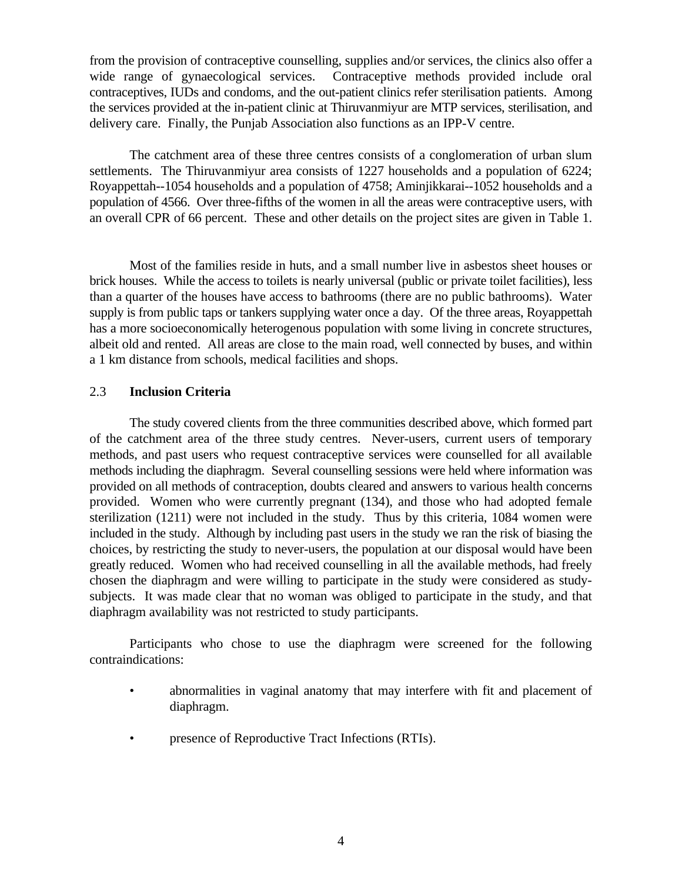from the provision of contraceptive counselling, supplies and/or services, the clinics also offer a wide range of gynaecological services. Contraceptive methods provided include oral contraceptives, IUDs and condoms, and the out-patient clinics refer sterilisation patients. Among the services provided at the in-patient clinic at Thiruvanmiyur are MTP services, sterilisation, and delivery care. Finally, the Punjab Association also functions as an IPP-V centre.

The catchment area of these three centres consists of a conglomeration of urban slum settlements. The Thiruvanmiyur area consists of 1227 households and a population of 6224; Royappettah--1054 households and a population of 4758; Aminjikkarai--1052 households and a population of 4566. Over three-fifths of the women in all the areas were contraceptive users, with an overall CPR of 66 percent. These and other details on the project sites are given in Table 1.

Most of the families reside in huts, and a small number live in asbestos sheet houses or brick houses. While the access to toilets is nearly universal (public or private toilet facilities), less than a quarter of the houses have access to bathrooms (there are no public bathrooms). Water supply is from public taps or tankers supplying water once a day. Of the three areas, Royappettah has a more socioeconomically heterogenous population with some living in concrete structures, albeit old and rented. All areas are close to the main road, well connected by buses, and within a 1 km distance from schools, medical facilities and shops.

#### 2.3 **Inclusion Criteria**

The study covered clients from the three communities described above, which formed part of the catchment area of the three study centres. Never-users, current users of temporary methods, and past users who request contraceptive services were counselled for all available methods including the diaphragm. Several counselling sessions were held where information was provided on all methods of contraception, doubts cleared and answers to various health concerns provided. Women who were currently pregnant (134), and those who had adopted female sterilization (1211) were not included in the study. Thus by this criteria, 1084 women were included in the study. Although by including past users in the study we ran the risk of biasing the choices, by restricting the study to never-users, the population at our disposal would have been greatly reduced. Women who had received counselling in all the available methods, had freely chosen the diaphragm and were willing to participate in the study were considered as studysubjects. It was made clear that no woman was obliged to participate in the study, and that diaphragm availability was not restricted to study participants.

Participants who chose to use the diaphragm were screened for the following contraindications:

- abnormalities in vaginal anatomy that may interfere with fit and placement of diaphragm.
- presence of Reproductive Tract Infections (RTIs).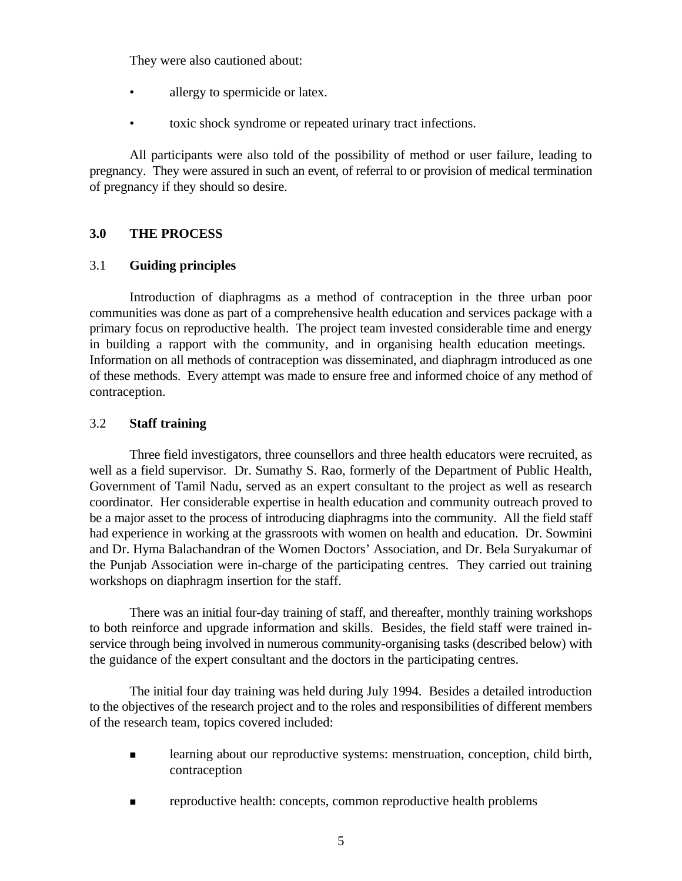They were also cautioned about:

- allergy to spermicide or latex.
- toxic shock syndrome or repeated urinary tract infections.

All participants were also told of the possibility of method or user failure, leading to pregnancy. They were assured in such an event, of referral to or provision of medical termination of pregnancy if they should so desire.

### **3.0 THE PROCESS**

### 3.1 **Guiding principles**

Introduction of diaphragms as a method of contraception in the three urban poor communities was done as part of a comprehensive health education and services package with a primary focus on reproductive health. The project team invested considerable time and energy in building a rapport with the community, and in organising health education meetings. Information on all methods of contraception was disseminated, and diaphragm introduced as one of these methods. Every attempt was made to ensure free and informed choice of any method of contraception.

### 3.2 **Staff training**

Three field investigators, three counsellors and three health educators were recruited, as well as a field supervisor. Dr. Sumathy S. Rao, formerly of the Department of Public Health, Government of Tamil Nadu, served as an expert consultant to the project as well as research coordinator. Her considerable expertise in health education and community outreach proved to be a major asset to the process of introducing diaphragms into the community. All the field staff had experience in working at the grassroots with women on health and education. Dr. Sowmini and Dr. Hyma Balachandran of the Women Doctors' Association, and Dr. Bela Suryakumar of the Punjab Association were in-charge of the participating centres. They carried out training workshops on diaphragm insertion for the staff.

There was an initial four-day training of staff, and thereafter, monthly training workshops to both reinforce and upgrade information and skills. Besides, the field staff were trained inservice through being involved in numerous community-organising tasks (described below) with the guidance of the expert consultant and the doctors in the participating centres.

The initial four day training was held during July 1994. Besides a detailed introduction to the objectives of the research project and to the roles and responsibilities of different members of the research team, topics covered included:

- n learning about our reproductive systems: menstruation, conception, child birth, contraception
- n reproductive health: concepts, common reproductive health problems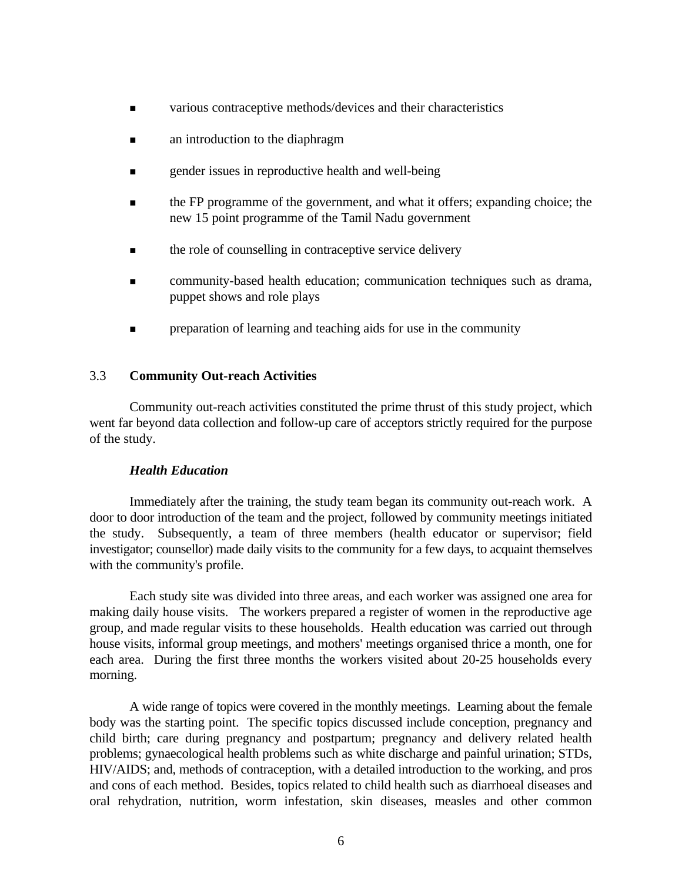- <sup>n</sup> various contraceptive methods/devices and their characteristics
- **n** an introduction to the diaphragm
- **n** gender issues in reproductive health and well-being
- <sup>n</sup> the FP programme of the government, and what it offers; expanding choice; the new 15 point programme of the Tamil Nadu government
- $\blacksquare$  the role of counselling in contraceptive service delivery
- <sup>n</sup> community-based health education; communication techniques such as drama, puppet shows and role plays
- **n** preparation of learning and teaching aids for use in the community

### 3.3 **Community Out-reach Activities**

Community out-reach activities constituted the prime thrust of this study project, which went far beyond data collection and follow-up care of acceptors strictly required for the purpose of the study.

#### *Health Education*

Immediately after the training, the study team began its community out-reach work. A door to door introduction of the team and the project, followed by community meetings initiated the study. Subsequently, a team of three members (health educator or supervisor; field investigator; counsellor) made daily visits to the community for a few days, to acquaint themselves with the community's profile.

Each study site was divided into three areas, and each worker was assigned one area for making daily house visits. The workers prepared a register of women in the reproductive age group, and made regular visits to these households. Health education was carried out through house visits, informal group meetings, and mothers' meetings organised thrice a month, one for each area. During the first three months the workers visited about 20-25 households every morning.

A wide range of topics were covered in the monthly meetings. Learning about the female body was the starting point. The specific topics discussed include conception, pregnancy and child birth; care during pregnancy and postpartum; pregnancy and delivery related health problems; gynaecological health problems such as white discharge and painful urination; STDs, HIV/AIDS; and, methods of contraception, with a detailed introduction to the working, and pros and cons of each method. Besides, topics related to child health such as diarrhoeal diseases and oral rehydration, nutrition, worm infestation, skin diseases, measles and other common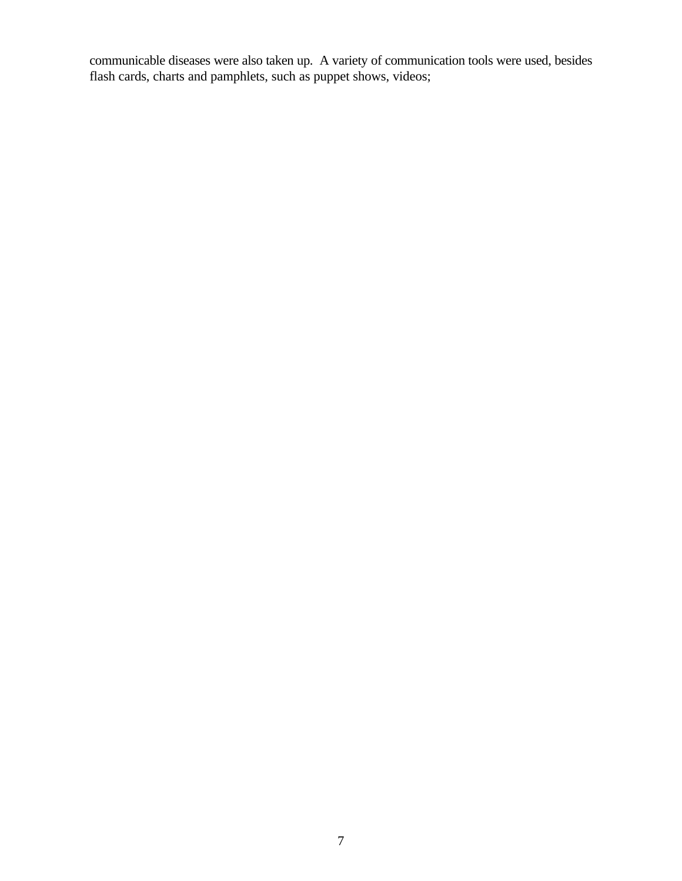communicable diseases were also taken up. A variety of communication tools were used, besides flash cards, charts and pamphlets, such as puppet shows, videos;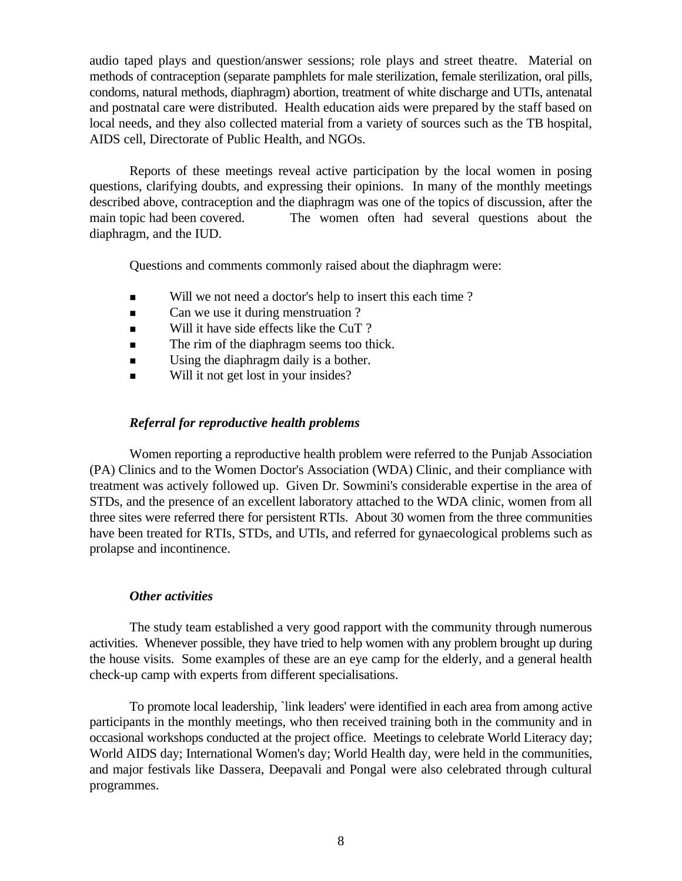audio taped plays and question/answer sessions; role plays and street theatre. Material on methods of contraception (separate pamphlets for male sterilization, female sterilization, oral pills, condoms, natural methods, diaphragm) abortion, treatment of white discharge and UTIs, antenatal and postnatal care were distributed. Health education aids were prepared by the staff based on local needs, and they also collected material from a variety of sources such as the TB hospital, AIDS cell, Directorate of Public Health, and NGOs.

Reports of these meetings reveal active participation by the local women in posing questions, clarifying doubts, and expressing their opinions. In many of the monthly meetings described above, contraception and the diaphragm was one of the topics of discussion, after the main topic had been covered. The women often had several questions about the diaphragm, and the IUD.

Questions and comments commonly raised about the diaphragm were:

- Will we not need a doctor's help to insert this each time?
- Can we use it during menstruation ?
- $\blacksquare$  Will it have side effects like the CuT ?
- **n** The rim of the diaphragm seems too thick.
- **n** Using the diaphragm daily is a bother.
- Will it not get lost in your insides?

### *Referral for reproductive health problems*

Women reporting a reproductive health problem were referred to the Punjab Association (PA) Clinics and to the Women Doctor's Association (WDA) Clinic, and their compliance with treatment was actively followed up. Given Dr. Sowmini's considerable expertise in the area of STDs, and the presence of an excellent laboratory attached to the WDA clinic, women from all three sites were referred there for persistent RTIs. About 30 women from the three communities have been treated for RTIs, STDs, and UTIs, and referred for gynaecological problems such as prolapse and incontinence.

#### *Other activities*

The study team established a very good rapport with the community through numerous activities. Whenever possible, they have tried to help women with any problem brought up during the house visits. Some examples of these are an eye camp for the elderly, and a general health check-up camp with experts from different specialisations.

To promote local leadership, `link leaders' were identified in each area from among active participants in the monthly meetings, who then received training both in the community and in occasional workshops conducted at the project office. Meetings to celebrate World Literacy day; World AIDS day; International Women's day; World Health day, were held in the communities, and major festivals like Dassera, Deepavali and Pongal were also celebrated through cultural programmes.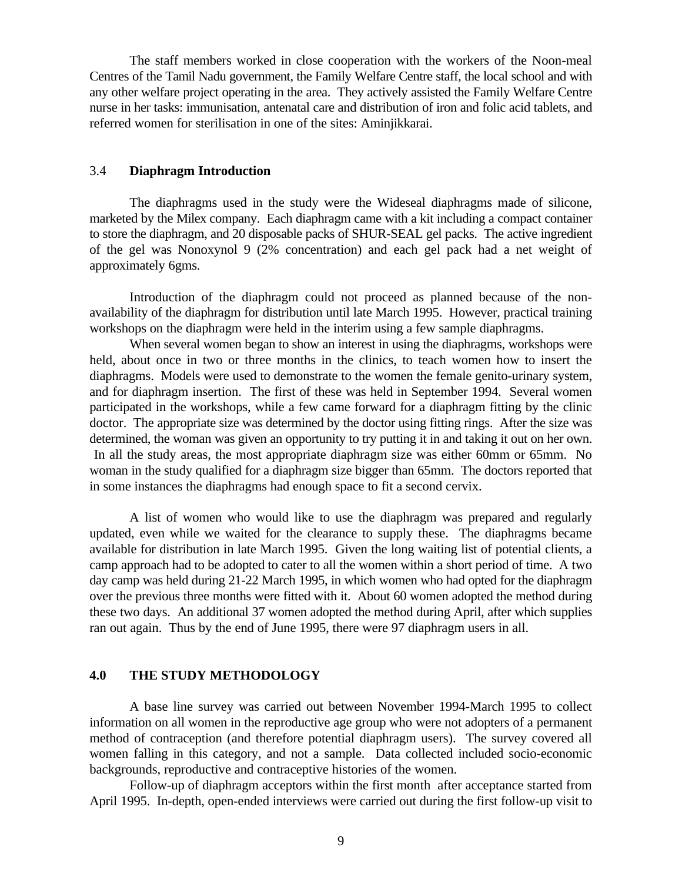The staff members worked in close cooperation with the workers of the Noon-meal Centres of the Tamil Nadu government, the Family Welfare Centre staff, the local school and with any other welfare project operating in the area. They actively assisted the Family Welfare Centre nurse in her tasks: immunisation, antenatal care and distribution of iron and folic acid tablets, and referred women for sterilisation in one of the sites: Aminjikkarai.

#### 3.4 **Diaphragm Introduction**

The diaphragms used in the study were the Wideseal diaphragms made of silicone, marketed by the Milex company. Each diaphragm came with a kit including a compact container to store the diaphragm, and 20 disposable packs of SHUR-SEAL gel packs. The active ingredient of the gel was Nonoxynol 9 (2% concentration) and each gel pack had a net weight of approximately 6gms.

Introduction of the diaphragm could not proceed as planned because of the nonavailability of the diaphragm for distribution until late March 1995. However, practical training workshops on the diaphragm were held in the interim using a few sample diaphragms.

When several women began to show an interest in using the diaphragms, workshops were held, about once in two or three months in the clinics, to teach women how to insert the diaphragms. Models were used to demonstrate to the women the female genito-urinary system, and for diaphragm insertion. The first of these was held in September 1994. Several women participated in the workshops, while a few came forward for a diaphragm fitting by the clinic doctor. The appropriate size was determined by the doctor using fitting rings. After the size was determined, the woman was given an opportunity to try putting it in and taking it out on her own. In all the study areas, the most appropriate diaphragm size was either 60mm or 65mm. No woman in the study qualified for a diaphragm size bigger than 65mm. The doctors reported that in some instances the diaphragms had enough space to fit a second cervix.

A list of women who would like to use the diaphragm was prepared and regularly updated, even while we waited for the clearance to supply these. The diaphragms became available for distribution in late March 1995. Given the long waiting list of potential clients, a camp approach had to be adopted to cater to all the women within a short period of time. A two day camp was held during 21-22 March 1995, in which women who had opted for the diaphragm over the previous three months were fitted with it. About 60 women adopted the method during these two days. An additional 37 women adopted the method during April, after which supplies ran out again. Thus by the end of June 1995, there were 97 diaphragm users in all.

### **4.0 THE STUDY METHODOLOGY**

A base line survey was carried out between November 1994-March 1995 to collect information on all women in the reproductive age group who were not adopters of a permanent method of contraception (and therefore potential diaphragm users). The survey covered all women falling in this category, and not a sample. Data collected included socio-economic backgrounds, reproductive and contraceptive histories of the women.

Follow-up of diaphragm acceptors within the first month after acceptance started from April 1995. In-depth, open-ended interviews were carried out during the first follow-up visit to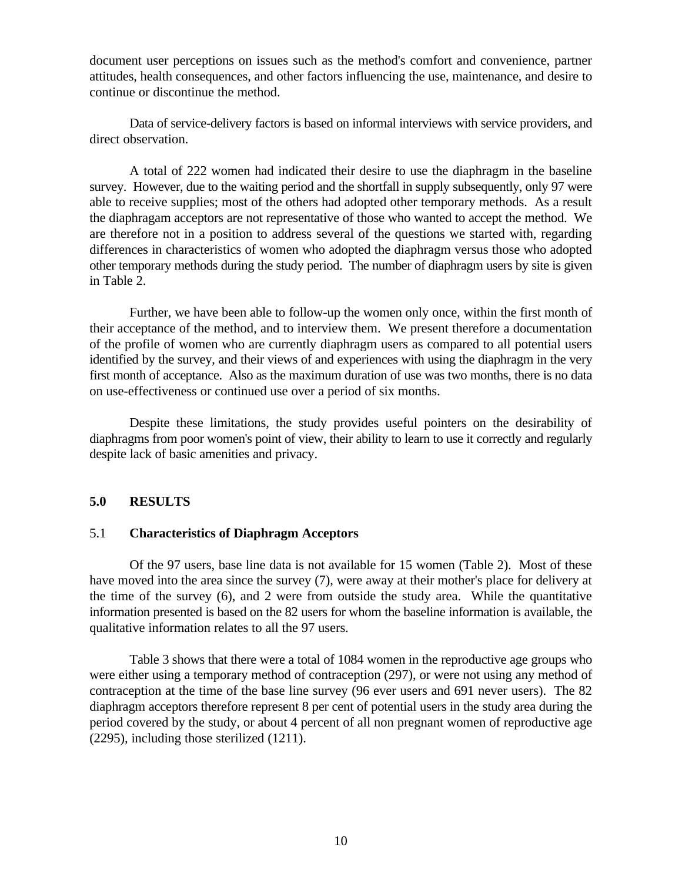document user perceptions on issues such as the method's comfort and convenience, partner attitudes, health consequences, and other factors influencing the use, maintenance, and desire to continue or discontinue the method.

Data of service-delivery factors is based on informal interviews with service providers, and direct observation.

A total of 222 women had indicated their desire to use the diaphragm in the baseline survey. However, due to the waiting period and the shortfall in supply subsequently, only 97 were able to receive supplies; most of the others had adopted other temporary methods. As a result the diaphragam acceptors are not representative of those who wanted to accept the method. We are therefore not in a position to address several of the questions we started with, regarding differences in characteristics of women who adopted the diaphragm versus those who adopted other temporary methods during the study period. The number of diaphragm users by site is given in Table 2.

Further, we have been able to follow-up the women only once, within the first month of their acceptance of the method, and to interview them. We present therefore a documentation of the profile of women who are currently diaphragm users as compared to all potential users identified by the survey, and their views of and experiences with using the diaphragm in the very first month of acceptance. Also as the maximum duration of use was two months, there is no data on use-effectiveness or continued use over a period of six months.

Despite these limitations, the study provides useful pointers on the desirability of diaphragms from poor women's point of view, their ability to learn to use it correctly and regularly despite lack of basic amenities and privacy.

#### **5.0 RESULTS**

#### 5.1 **Characteristics of Diaphragm Acceptors**

Of the 97 users, base line data is not available for 15 women (Table 2). Most of these have moved into the area since the survey (7), were away at their mother's place for delivery at the time of the survey (6), and 2 were from outside the study area. While the quantitative information presented is based on the 82 users for whom the baseline information is available, the qualitative information relates to all the 97 users.

Table 3 shows that there were a total of 1084 women in the reproductive age groups who were either using a temporary method of contraception (297), or were not using any method of contraception at the time of the base line survey (96 ever users and 691 never users). The 82 diaphragm acceptors therefore represent 8 per cent of potential users in the study area during the period covered by the study, or about 4 percent of all non pregnant women of reproductive age (2295), including those sterilized (1211).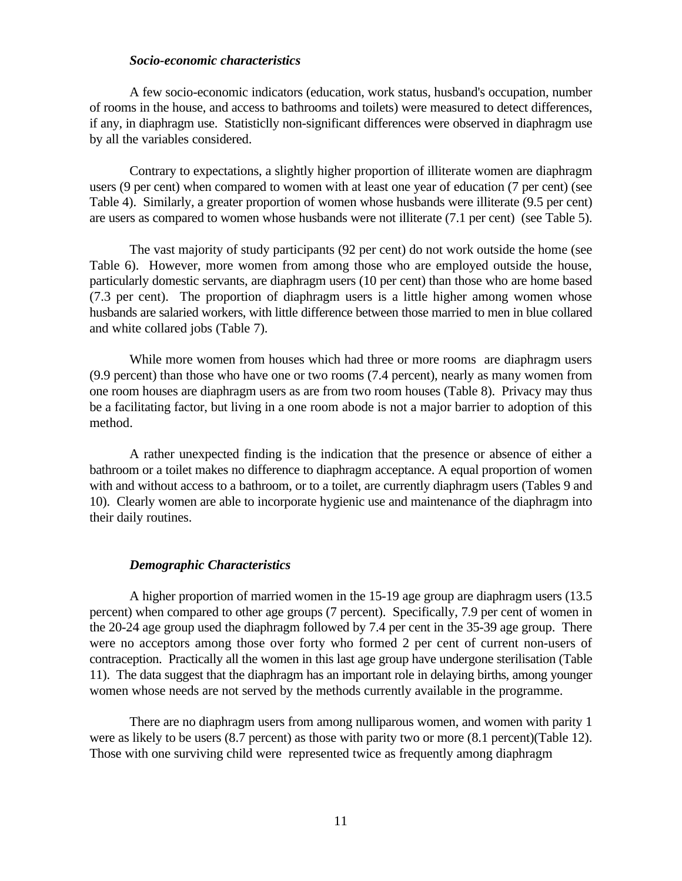#### *Socio-economic characteristics*

A few socio-economic indicators (education, work status, husband's occupation, number of rooms in the house, and access to bathrooms and toilets) were measured to detect differences, if any, in diaphragm use. Statisticlly non-significant differences were observed in diaphragm use by all the variables considered.

Contrary to expectations, a slightly higher proportion of illiterate women are diaphragm users (9 per cent) when compared to women with at least one year of education (7 per cent) (see Table 4). Similarly, a greater proportion of women whose husbands were illiterate (9.5 per cent) are users as compared to women whose husbands were not illiterate (7.1 per cent) (see Table 5).

The vast majority of study participants (92 per cent) do not work outside the home (see Table 6). However, more women from among those who are employed outside the house, particularly domestic servants, are diaphragm users (10 per cent) than those who are home based (7.3 per cent). The proportion of diaphragm users is a little higher among women whose husbands are salaried workers, with little difference between those married to men in blue collared and white collared jobs (Table 7).

While more women from houses which had three or more rooms are diaphragm users (9.9 percent) than those who have one or two rooms (7.4 percent), nearly as many women from one room houses are diaphragm users as are from two room houses (Table 8). Privacy may thus be a facilitating factor, but living in a one room abode is not a major barrier to adoption of this method.

A rather unexpected finding is the indication that the presence or absence of either a bathroom or a toilet makes no difference to diaphragm acceptance. A equal proportion of women with and without access to a bathroom, or to a toilet, are currently diaphragm users (Tables 9 and 10). Clearly women are able to incorporate hygienic use and maintenance of the diaphragm into their daily routines.

#### *Demographic Characteristics*

A higher proportion of married women in the 15-19 age group are diaphragm users (13.5 percent) when compared to other age groups (7 percent). Specifically, 7.9 per cent of women in the 20-24 age group used the diaphragm followed by 7.4 per cent in the 35-39 age group. There were no acceptors among those over forty who formed 2 per cent of current non-users of contraception. Practically all the women in this last age group have undergone sterilisation (Table 11). The data suggest that the diaphragm has an important role in delaying births, among younger women whose needs are not served by the methods currently available in the programme.

There are no diaphragm users from among nulliparous women, and women with parity 1 were as likely to be users (8.7 percent) as those with parity two or more (8.1 percent)(Table 12). Those with one surviving child were represented twice as frequently among diaphragm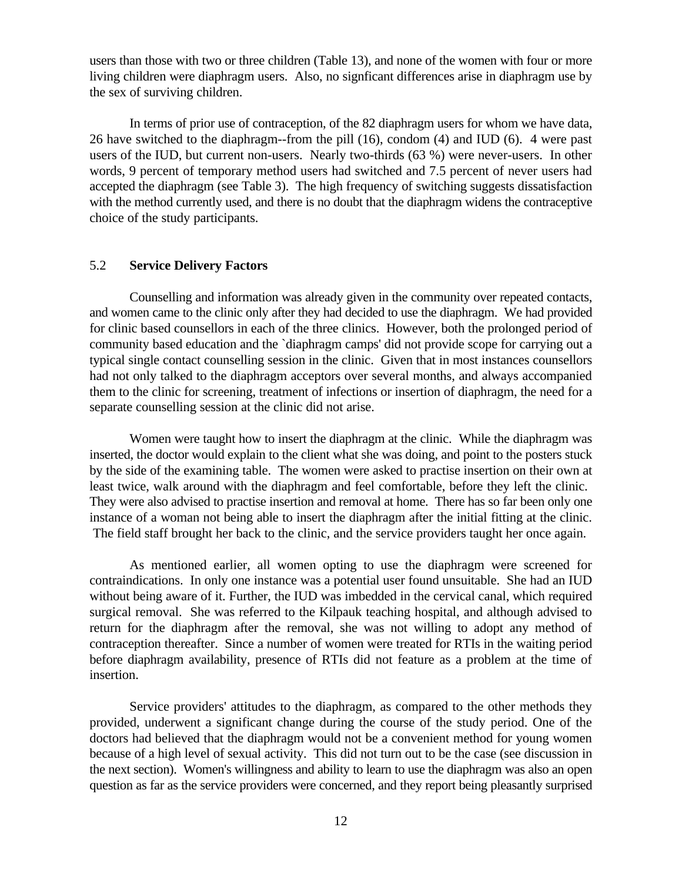users than those with two or three children (Table 13), and none of the women with four or more living children were diaphragm users. Also, no signficant differences arise in diaphragm use by the sex of surviving children.

In terms of prior use of contraception, of the 82 diaphragm users for whom we have data, 26 have switched to the diaphragm--from the pill (16), condom (4) and IUD (6). 4 were past users of the IUD, but current non-users. Nearly two-thirds (63 %) were never-users. In other words, 9 percent of temporary method users had switched and 7.5 percent of never users had accepted the diaphragm (see Table 3). The high frequency of switching suggests dissatisfaction with the method currently used, and there is no doubt that the diaphragm widens the contraceptive choice of the study participants.

#### 5.2 **Service Delivery Factors**

Counselling and information was already given in the community over repeated contacts, and women came to the clinic only after they had decided to use the diaphragm. We had provided for clinic based counsellors in each of the three clinics. However, both the prolonged period of community based education and the `diaphragm camps' did not provide scope for carrying out a typical single contact counselling session in the clinic. Given that in most instances counsellors had not only talked to the diaphragm acceptors over several months, and always accompanied them to the clinic for screening, treatment of infections or insertion of diaphragm, the need for a separate counselling session at the clinic did not arise.

Women were taught how to insert the diaphragm at the clinic. While the diaphragm was inserted, the doctor would explain to the client what she was doing, and point to the posters stuck by the side of the examining table. The women were asked to practise insertion on their own at least twice, walk around with the diaphragm and feel comfortable, before they left the clinic. They were also advised to practise insertion and removal at home. There has so far been only one instance of a woman not being able to insert the diaphragm after the initial fitting at the clinic. The field staff brought her back to the clinic, and the service providers taught her once again.

As mentioned earlier, all women opting to use the diaphragm were screened for contraindications. In only one instance was a potential user found unsuitable. She had an IUD without being aware of it. Further, the IUD was imbedded in the cervical canal, which required surgical removal. She was referred to the Kilpauk teaching hospital, and although advised to return for the diaphragm after the removal, she was not willing to adopt any method of contraception thereafter. Since a number of women were treated for RTIs in the waiting period before diaphragm availability, presence of RTIs did not feature as a problem at the time of insertion.

Service providers' attitudes to the diaphragm, as compared to the other methods they provided, underwent a significant change during the course of the study period. One of the doctors had believed that the diaphragm would not be a convenient method for young women because of a high level of sexual activity. This did not turn out to be the case (see discussion in the next section). Women's willingness and ability to learn to use the diaphragm was also an open question as far as the service providers were concerned, and they report being pleasantly surprised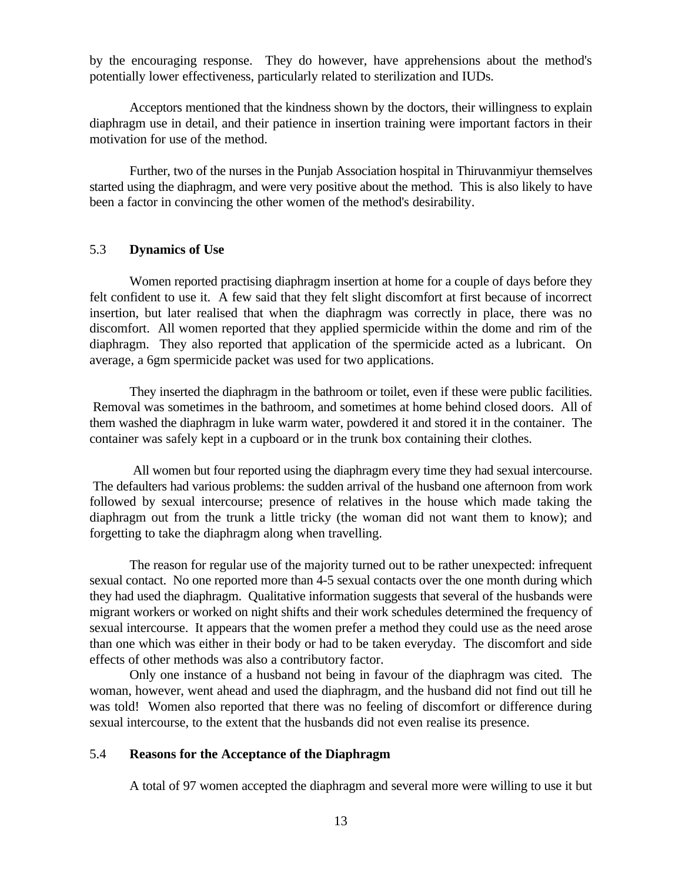by the encouraging response. They do however, have apprehensions about the method's potentially lower effectiveness, particularly related to sterilization and IUDs.

Acceptors mentioned that the kindness shown by the doctors, their willingness to explain diaphragm use in detail, and their patience in insertion training were important factors in their motivation for use of the method.

Further, two of the nurses in the Punjab Association hospital in Thiruvanmiyur themselves started using the diaphragm, and were very positive about the method. This is also likely to have been a factor in convincing the other women of the method's desirability.

#### 5.3 **Dynamics of Use**

Women reported practising diaphragm insertion at home for a couple of days before they felt confident to use it. A few said that they felt slight discomfort at first because of incorrect insertion, but later realised that when the diaphragm was correctly in place, there was no discomfort. All women reported that they applied spermicide within the dome and rim of the diaphragm. They also reported that application of the spermicide acted as a lubricant. On average, a 6gm spermicide packet was used for two applications.

They inserted the diaphragm in the bathroom or toilet, even if these were public facilities. Removal was sometimes in the bathroom, and sometimes at home behind closed doors. All of them washed the diaphragm in luke warm water, powdered it and stored it in the container. The container was safely kept in a cupboard or in the trunk box containing their clothes.

 All women but four reported using the diaphragm every time they had sexual intercourse. The defaulters had various problems: the sudden arrival of the husband one afternoon from work followed by sexual intercourse; presence of relatives in the house which made taking the diaphragm out from the trunk a little tricky (the woman did not want them to know); and forgetting to take the diaphragm along when travelling.

The reason for regular use of the majority turned out to be rather unexpected: infrequent sexual contact. No one reported more than 4-5 sexual contacts over the one month during which they had used the diaphragm. Qualitative information suggests that several of the husbands were migrant workers or worked on night shifts and their work schedules determined the frequency of sexual intercourse. It appears that the women prefer a method they could use as the need arose than one which was either in their body or had to be taken everyday. The discomfort and side effects of other methods was also a contributory factor.

Only one instance of a husband not being in favour of the diaphragm was cited. The woman, however, went ahead and used the diaphragm, and the husband did not find out till he was told! Women also reported that there was no feeling of discomfort or difference during sexual intercourse, to the extent that the husbands did not even realise its presence.

#### 5.4 **Reasons for the Acceptance of the Diaphragm**

A total of 97 women accepted the diaphragm and several more were willing to use it but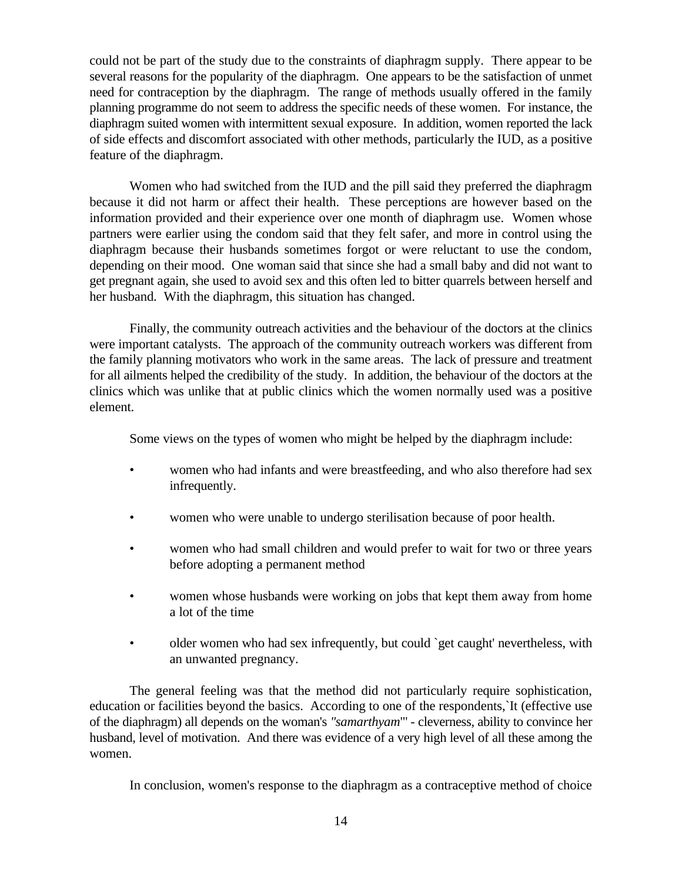could not be part of the study due to the constraints of diaphragm supply. There appear to be several reasons for the popularity of the diaphragm. One appears to be the satisfaction of unmet need for contraception by the diaphragm. The range of methods usually offered in the family planning programme do not seem to address the specific needs of these women. For instance, the diaphragm suited women with intermittent sexual exposure. In addition, women reported the lack of side effects and discomfort associated with other methods, particularly the IUD, as a positive feature of the diaphragm.

Women who had switched from the IUD and the pill said they preferred the diaphragm because it did not harm or affect their health. These perceptions are however based on the information provided and their experience over one month of diaphragm use. Women whose partners were earlier using the condom said that they felt safer, and more in control using the diaphragm because their husbands sometimes forgot or were reluctant to use the condom, depending on their mood. One woman said that since she had a small baby and did not want to get pregnant again, she used to avoid sex and this often led to bitter quarrels between herself and her husband. With the diaphragm, this situation has changed.

Finally, the community outreach activities and the behaviour of the doctors at the clinics were important catalysts. The approach of the community outreach workers was different from the family planning motivators who work in the same areas. The lack of pressure and treatment for all ailments helped the credibility of the study. In addition, the behaviour of the doctors at the clinics which was unlike that at public clinics which the women normally used was a positive element.

Some views on the types of women who might be helped by the diaphragm include:

- women who had infants and were breastfeeding, and who also therefore had sex infrequently.
- women who were unable to undergo sterilisation because of poor health.
- women who had small children and would prefer to wait for two or three years before adopting a permanent method
- women whose husbands were working on jobs that kept them away from home a lot of the time
- older women who had sex infrequently, but could 'get caught' nevertheless, with an unwanted pregnancy.

The general feeling was that the method did not particularly require sophistication, education or facilities beyond the basics. According to one of the respondents,`It (effective use of the diaphragm) all depends on the woman's *"samarthyam*"' - cleverness, ability to convince her husband, level of motivation. And there was evidence of a very high level of all these among the women.

In conclusion, women's response to the diaphragm as a contraceptive method of choice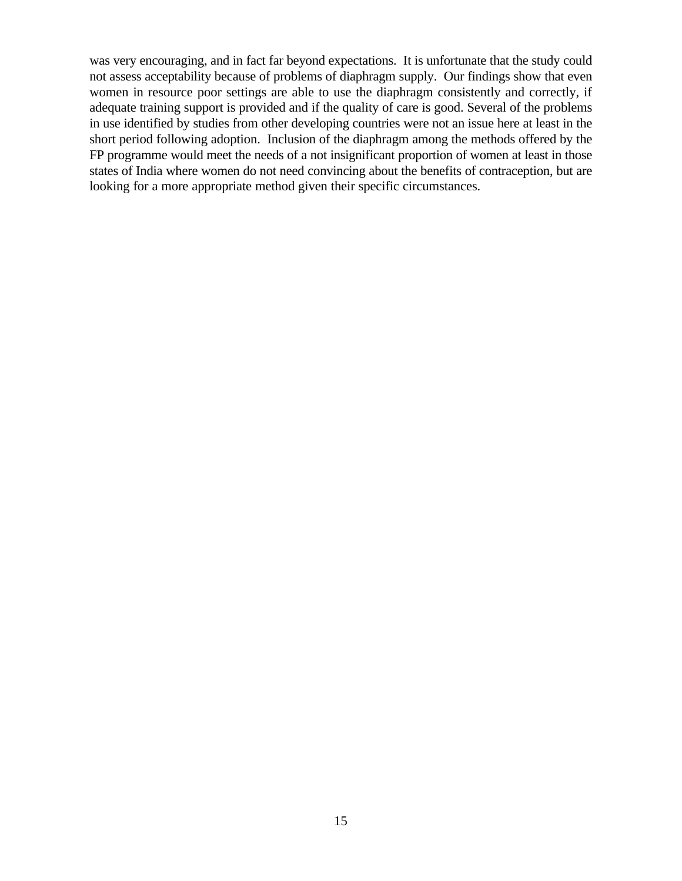was very encouraging, and in fact far beyond expectations. It is unfortunate that the study could not assess acceptability because of problems of diaphragm supply. Our findings show that even women in resource poor settings are able to use the diaphragm consistently and correctly, if adequate training support is provided and if the quality of care is good. Several of the problems in use identified by studies from other developing countries were not an issue here at least in the short period following adoption. Inclusion of the diaphragm among the methods offered by the FP programme would meet the needs of a not insignificant proportion of women at least in those states of India where women do not need convincing about the benefits of contraception, but are looking for a more appropriate method given their specific circumstances.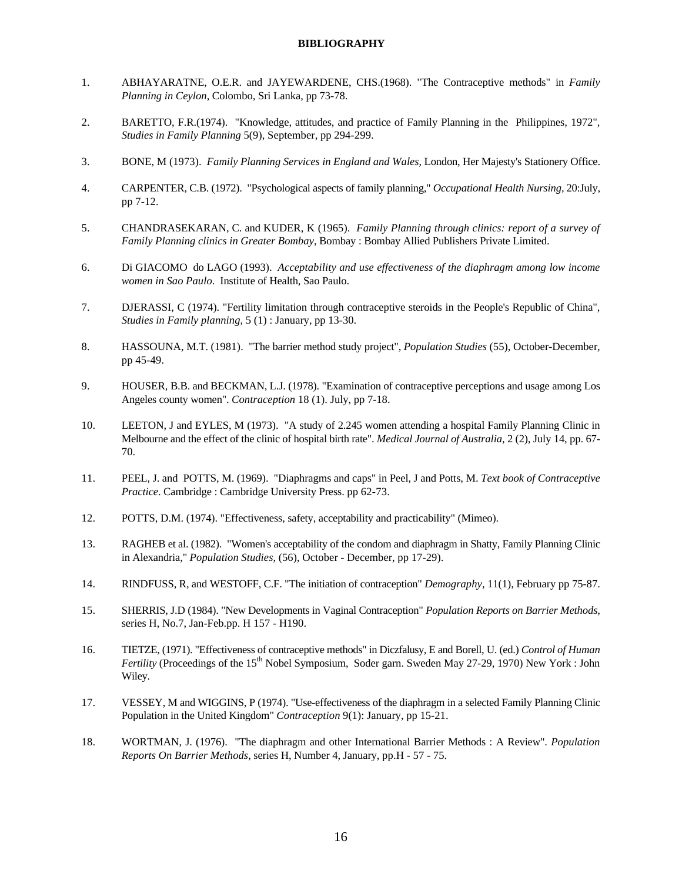#### **BIBLIOGRAPHY**

- 1. ABHAYARATNE, O.E.R. and JAYEWARDENE, CHS.(1968). "The Contraceptive methods" in *Family Planning in Ceylon*, Colombo, Sri Lanka, pp 73-78.
- 2. BARETTO, F.R.(1974). "Knowledge, attitudes, and practice of Family Planning in the Philippines, 1972", *Studies in Family Planning* 5(9), September, pp 294-299.
- 3. BONE, M (1973). *Family Planning Services in England and Wales*, London, Her Majesty's Stationery Office.
- 4. CARPENTER, C.B. (1972). "Psychological aspects of family planning," *Occupational Health Nursing*, 20:July, pp 7-12.
- 5. CHANDRASEKARAN, C. and KUDER, K (1965). *Family Planning through clinics: report of a survey of Family Planning clinics in Greater Bombay*, Bombay : Bombay Allied Publishers Private Limited.
- 6. Di GIACOMO do LAGO (1993). *Acceptability and use effectiveness of the diaphragm among low income women in Sao Paulo*. Institute of Health, Sao Paulo.
- 7. DJERASSI, C (1974). "Fertility limitation through contraceptive steroids in the People's Republic of China", *Studies in Family planning*, 5 (1) : January, pp 13-30.
- 8. HASSOUNA, M.T. (1981). "The barrier method study project", *Population Studies* (55), October-December, pp 45-49.
- 9. HOUSER, B.B. and BECKMAN, L.J. (1978). "Examination of contraceptive perceptions and usage among Los Angeles county women". *Contraception* 18 (1). July, pp 7-18.
- 10. LEETON, J and EYLES, M (1973). "A study of 2.245 women attending a hospital Family Planning Clinic in Melbourne and the effect of the clinic of hospital birth rate". *Medical Journal of Australia*, 2 (2), July 14, pp. 67- 70.
- 11. PEEL, J. and POTTS, M. (1969). "Diaphragms and caps" in Peel, J and Potts, M. *Text book of Contraceptive Practice*. Cambridge : Cambridge University Press. pp 62-73.
- 12. POTTS, D.M. (1974). "Effectiveness, safety, acceptability and practicability" (Mimeo).
- 13. RAGHEB et al. (1982). "Women's acceptability of the condom and diaphragm in Shatty, Family Planning Clinic in Alexandria," *Population Studies*, (56), October - December, pp 17-29).
- 14. RINDFUSS, R, and WESTOFF, C.F. "The initiation of contraception" *Demography*, 11(1), February pp 75-87.
- 15. SHERRIS, J.D (1984). "New Developments in Vaginal Contraception" *Population Reports on Barrier Methods*, series H, No.7, Jan-Feb.pp. H 157 - H190.
- 16. TIETZE, (1971). "Effectiveness of contraceptive methods" in Diczfalusy, E and Borell, U. (ed.) *Control of Human Fertility* (Proceedings of the 15<sup>th</sup> Nobel Symposium, Soder garn. Sweden May 27-29, 1970) New York : John Wiley.
- 17. VESSEY, M and WIGGINS, P (1974). "Use-effectiveness of the diaphragm in a selected Family Planning Clinic Population in the United Kingdom" *Contraception* 9(1): January, pp 15-21.
- 18. WORTMAN, J. (1976). "The diaphragm and other International Barrier Methods : A Review". *Population Reports On Barrier Methods*, series H, Number 4, January, pp.H - 57 - 75.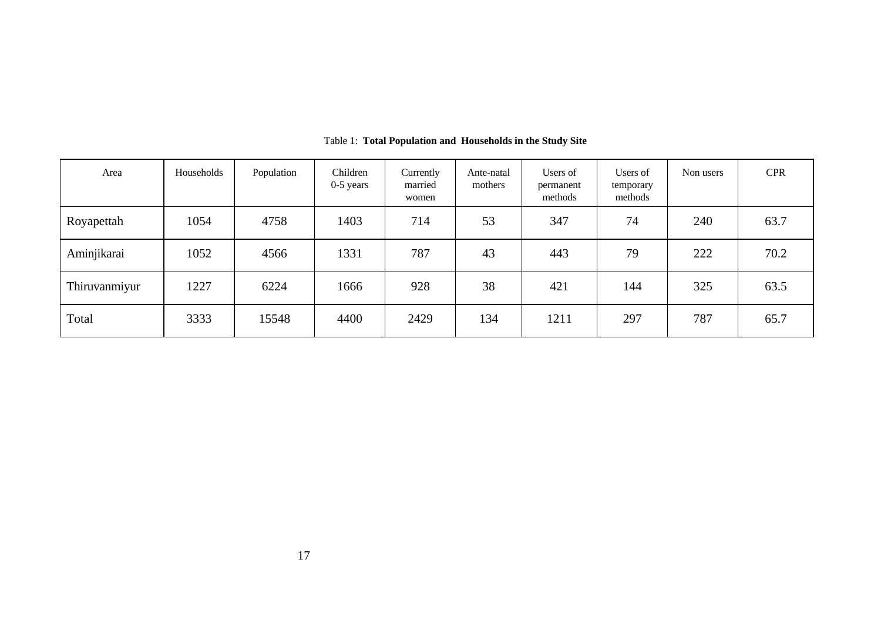| Area          | Households | Population | Children<br>$0-5$ years | Currently<br>married<br>women | Ante-natal<br>mothers | Users of<br>permanent<br>methods | Users of<br>temporary<br>methods | Non users | <b>CPR</b> |
|---------------|------------|------------|-------------------------|-------------------------------|-----------------------|----------------------------------|----------------------------------|-----------|------------|
| Royapettah    | 1054       | 4758       | 1403                    | 714                           | 53                    | 347                              | 74                               | 240       | 63.7       |
| Aminjikarai   | 1052       | 4566       | 1331                    | 787                           | 43                    | 443                              | 79                               | 222       | 70.2       |
| Thiruvanmiyur | 1227       | 6224       | 1666                    | 928                           | 38                    | 421                              | 144                              | 325       | 63.5       |
| Total         | 3333       | 15548      | 4400                    | 2429                          | 134                   | 1211                             | 297                              | 787       | 65.7       |

Table 1: **Total Population and Households in the Study Site**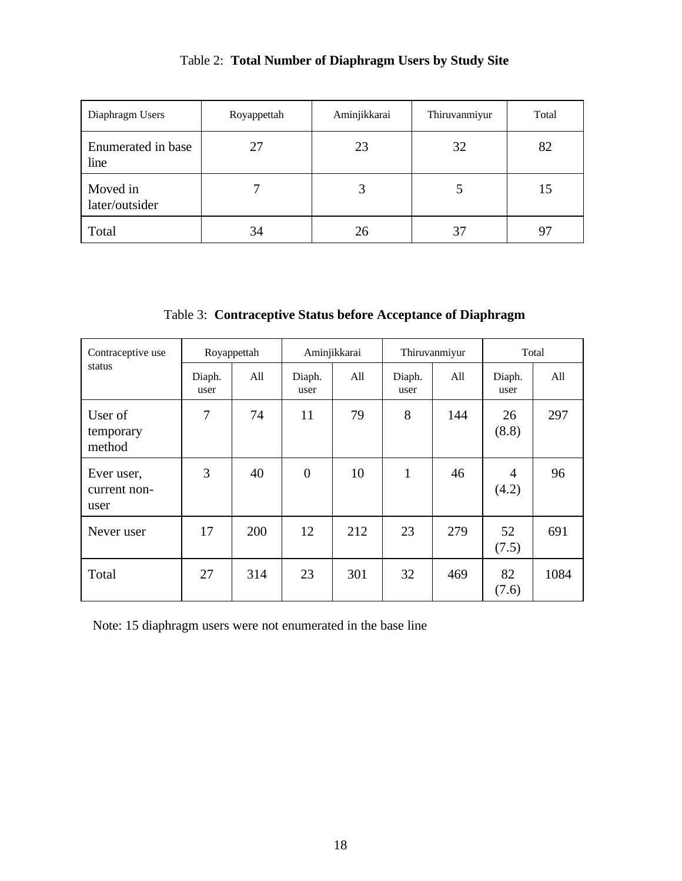| Diaphragm Users            | Royappettah | Aminjikkarai | Thiruvanmiyur | Total     |
|----------------------------|-------------|--------------|---------------|-----------|
| Enumerated in base<br>line | 27          | 23           | 32            | 82        |
| Moved in<br>later/outsider |             | 3            |               | 15        |
| Total                      | 34          | 26           | 37            | $Q^{\pi}$ |

## Table 2: **Total Number of Diaphragm Users by Study Site**

Table 3: **Contraceptive Status before Acceptance of Diaphragm**

| Contraceptive use                  | Royappettah    |     | Aminjikkarai   |     | Thiruvanmiyur  |     | Total                   |      |
|------------------------------------|----------------|-----|----------------|-----|----------------|-----|-------------------------|------|
| status                             | Diaph.<br>user | All | Diaph.<br>user | All | Diaph.<br>user | All | Diaph.<br>user          | All  |
| User of<br>temporary<br>method     | 7              | 74  | 11             | 79  | 8              | 144 | 26<br>(8.8)             | 297  |
| Ever user,<br>current non-<br>user | 3              | 40  | $\overline{0}$ | 10  | $\mathbf{1}$   | 46  | $\overline{4}$<br>(4.2) | 96   |
| Never user                         | 17             | 200 | 12             | 212 | 23             | 279 | 52<br>(7.5)             | 691  |
| Total                              | 27             | 314 | 23             | 301 | 32             | 469 | 82<br>(7.6)             | 1084 |

Note: 15 diaphragm users were not enumerated in the base line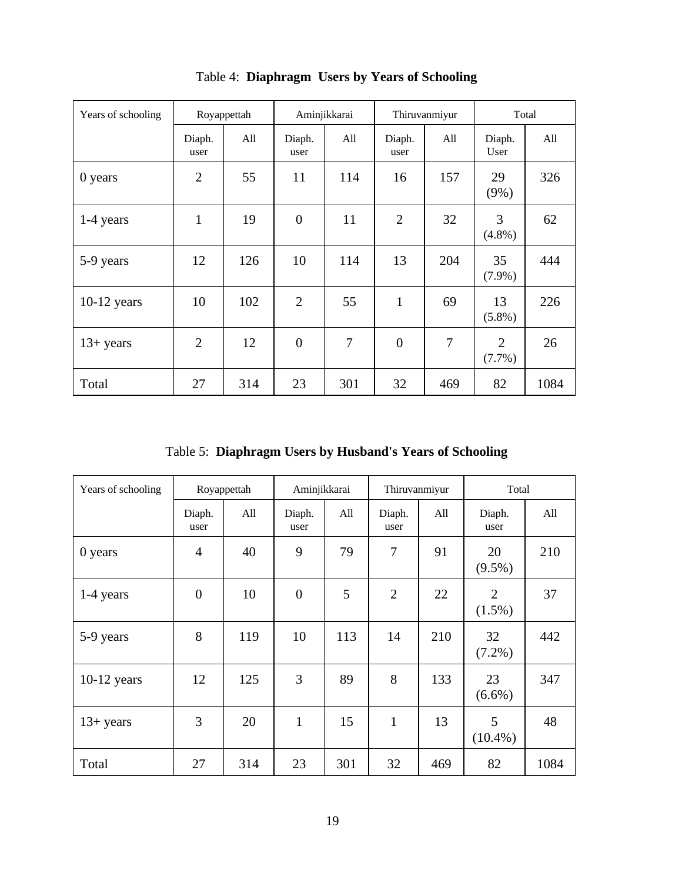| Years of schooling |                | Royappettah |                | Aminjikkarai |                | Thiruvanmiyur |                          | Total |
|--------------------|----------------|-------------|----------------|--------------|----------------|---------------|--------------------------|-------|
|                    | Diaph.<br>user | All         | Diaph.<br>user | All          | Diaph.<br>user | All           | Diaph.<br>User           | All   |
| 0 years            | $\overline{2}$ | 55          | 11             | 114          | 16             | 157           | 29<br>$(9\%)$            | 326   |
| 1-4 years          | $\mathbf{1}$   | 19          | $\overline{0}$ | 11           | $\overline{2}$ | 32            | 3<br>$(4.8\%)$           | 62    |
| 5-9 years          | 12             | 126         | 10             | 114          | 13             | 204           | 35<br>$(7.9\%)$          | 444   |
| $10-12$ years      | 10             | 102         | $\overline{2}$ | 55           | $\mathbf{1}$   | 69            | 13<br>$(5.8\%)$          | 226   |
| $13+ years$        | $\overline{2}$ | 12          | $\overline{0}$ | 7            | $\overline{0}$ | 7             | $\overline{2}$<br>(7.7%) | 26    |
| Total              | 27             | 314         | 23             | 301          | 32             | 469           | 82                       | 1084  |

Table 4: **Diaphragm Users by Years of Schooling**

Table 5: **Diaphragm Users by Husband's Years of Schooling**

| Years of schooling |                  | Royappettah | Aminjikkarai   |     | Thiruvanmiyur  |     | Total                       |      |  |
|--------------------|------------------|-------------|----------------|-----|----------------|-----|-----------------------------|------|--|
|                    | Diaph.<br>user   | All         | Diaph.<br>user | All | Diaph.<br>user | All | Diaph.<br>user              | All  |  |
| 0 years            | $\overline{4}$   | 40          | 9              | 79  | 7              | 91  | 20<br>$(9.5\%)$             | 210  |  |
| 1-4 years          | $\boldsymbol{0}$ | 10          | $\overline{0}$ | 5   | $\overline{2}$ | 22  | $\overline{2}$<br>$(1.5\%)$ | 37   |  |
| 5-9 years          | 8                | 119         | 10             | 113 | 14             | 210 | 32<br>$(7.2\%)$             | 442  |  |
| $10-12$ years      | 12               | 125         | 3              | 89  | 8              | 133 | 23<br>$(6.6\%)$             | 347  |  |
| $13+$ years        | 3                | 20          | $\mathbf{1}$   | 15  | $\mathbf{1}$   | 13  | 5<br>$(10.4\%)$             | 48   |  |
| Total              | 27               | 314         | 23             | 301 | 32             | 469 | 82                          | 1084 |  |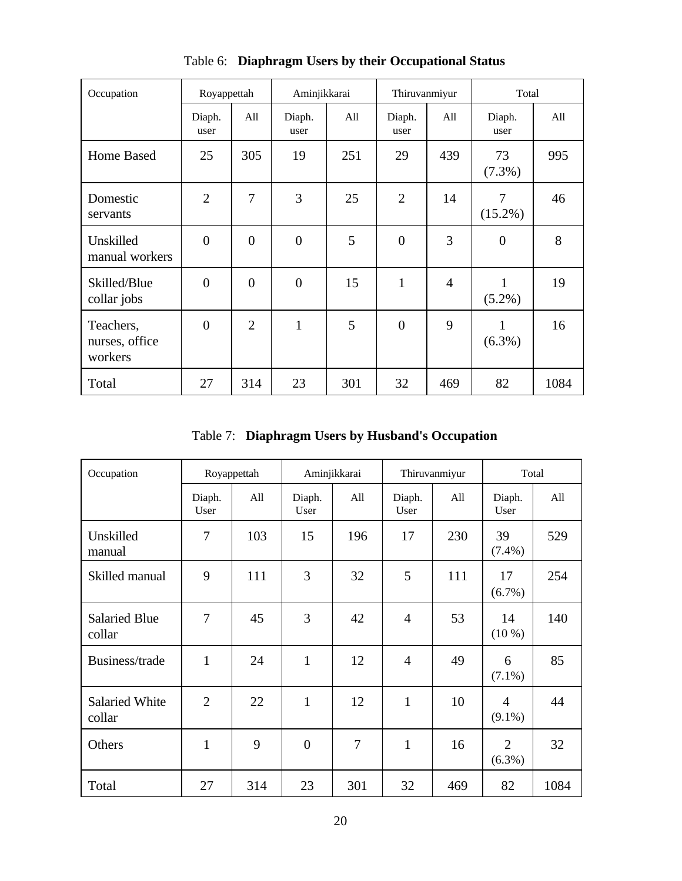| Occupation                             | Royappettah    |                | Aminjikkarai   |     | Thiruvanmiyur  |                | Total           |      |
|----------------------------------------|----------------|----------------|----------------|-----|----------------|----------------|-----------------|------|
|                                        | Diaph.<br>user | All            | Diaph.<br>user | All | Diaph.<br>user | All            | Diaph.<br>user  | All  |
| Home Based                             | 25             | 305            | 19             | 251 | 29             | 439            | 73<br>$(7.3\%)$ | 995  |
| Domestic<br>servants                   | $\overline{2}$ | 7              | 3              | 25  | $\overline{2}$ | 14             | 7<br>$(15.2\%)$ | 46   |
| Unskilled<br>manual workers            | $\overline{0}$ | $\overline{0}$ | $\overline{0}$ | 5   | $\overline{0}$ | 3              | $\theta$        | 8    |
| Skilled/Blue<br>collar jobs            | $\overline{0}$ | $\overline{0}$ | $\overline{0}$ | 15  | $\mathbf{1}$   | $\overline{4}$ | 1<br>$(5.2\%)$  | 19   |
| Teachers,<br>nurses, office<br>workers | $\overline{0}$ | $\overline{2}$ | $\mathbf{1}$   | 5   | $\overline{0}$ | 9              | 1<br>$(6.3\%)$  | 16   |
| Total                                  | 27             | 314            | 23             | 301 | 32             | 469            | 82              | 1084 |

Table 6: **Diaphragm Users by their Occupational Status**

Table 7: **Diaphragm Users by Husband's Occupation**

| Occupation                      |                | Royappettah |                | Aminjikkarai   |                | Thiruvanmiyur |                             | Total |
|---------------------------------|----------------|-------------|----------------|----------------|----------------|---------------|-----------------------------|-------|
|                                 | Diaph.<br>User | All         | Diaph.<br>User | A11            | Diaph.<br>User | All           | Diaph.<br>User              | A11   |
| Unskilled<br>manual             | 7              | 103         | 15             | 196            | 17             | 230           | 39<br>$(7.4\%)$             | 529   |
| Skilled manual                  | 9              | 111         | 3              | 32             | 5              | 111           | 17<br>(6.7%)                | 254   |
| <b>Salaried Blue</b><br>collar  | 7              | 45          | 3              | 42             | $\overline{4}$ | 53            | 14<br>$(10\%)$              | 140   |
| Business/trade                  | 1              | 24          | $\mathbf{1}$   | 12             | $\overline{4}$ | 49            | 6<br>$(7.1\%)$              | 85    |
| <b>Salaried White</b><br>collar | $\overline{2}$ | 22          | $\mathbf{1}$   | 12             | $\mathbf{1}$   | 10            | 4<br>$(9.1\%)$              | 44    |
| Others                          | 1              | 9           | $\overline{0}$ | $\overline{7}$ | $\mathbf{1}$   | 16            | $\overline{2}$<br>$(6.3\%)$ | 32    |
| Total                           | 27             | 314         | 23             | 301            | 32             | 469           | 82                          | 1084  |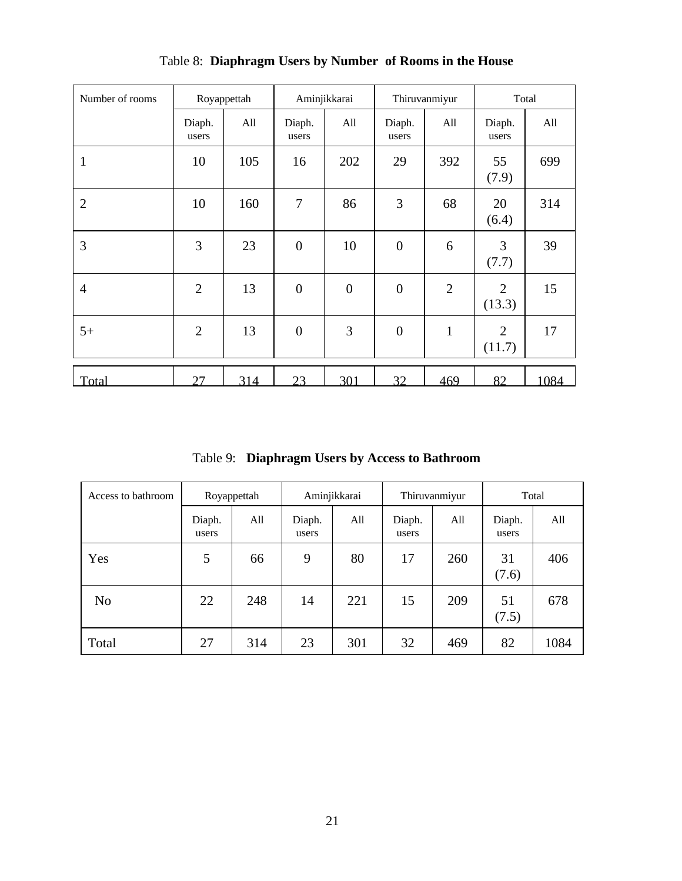| Number of rooms |                 | Royappettah |                  | Aminjikkarai   |                  | Thiruvanmiyur  |                 | Total |  |
|-----------------|-----------------|-------------|------------------|----------------|------------------|----------------|-----------------|-------|--|
|                 | Diaph.<br>users | All         | Diaph.<br>users  | All            | Diaph.<br>users  | All            | Diaph.<br>users | All   |  |
| $\mathbf{1}$    | 10              | 105         | 16               | 202            | 29               | 392            | 55<br>(7.9)     | 699   |  |
| $\overline{2}$  | 10              | 160         | $\overline{7}$   | 86             | 3                | 68             | 20<br>(6.4)     | 314   |  |
| 3               | 3               | 23          | $\boldsymbol{0}$ | 10             | $\boldsymbol{0}$ | 6              | 3<br>(7.7)      | 39    |  |
| $\overline{4}$  | $\overline{2}$  | 13          | $\overline{0}$   | $\overline{0}$ | $\overline{0}$   | $\overline{2}$ | 2<br>(13.3)     | 15    |  |
| $5+$            | $\overline{2}$  | 13          | $\overline{0}$   | 3              | $\overline{0}$   | $\mathbf{1}$   | 2<br>(11.7)     | 17    |  |
| Total           | 27              | 314         | 23               | 301            | 32               | 469            | 82              | 1084  |  |

Table 8: **Diaphragm Users by Number of Rooms in the House**

Table 9: **Diaphragm Users by Access to Bathroom**

| Access to bathroom | Royappettah     |     | Aminjikkarai    |     | Thiruvanmiyur   |     | Total           |      |
|--------------------|-----------------|-----|-----------------|-----|-----------------|-----|-----------------|------|
|                    | Diaph.<br>users | All | Diaph.<br>users | All | Diaph.<br>users | All | Diaph.<br>users | All  |
| Yes                | 5               | 66  | 9               | 80  | 17              | 260 | 31<br>(7.6)     | 406  |
| N <sub>o</sub>     | 22              | 248 | 14              | 221 | 15              | 209 | 51<br>(7.5)     | 678  |
| Total              | 27              | 314 | 23              | 301 | 32              | 469 | 82              | 1084 |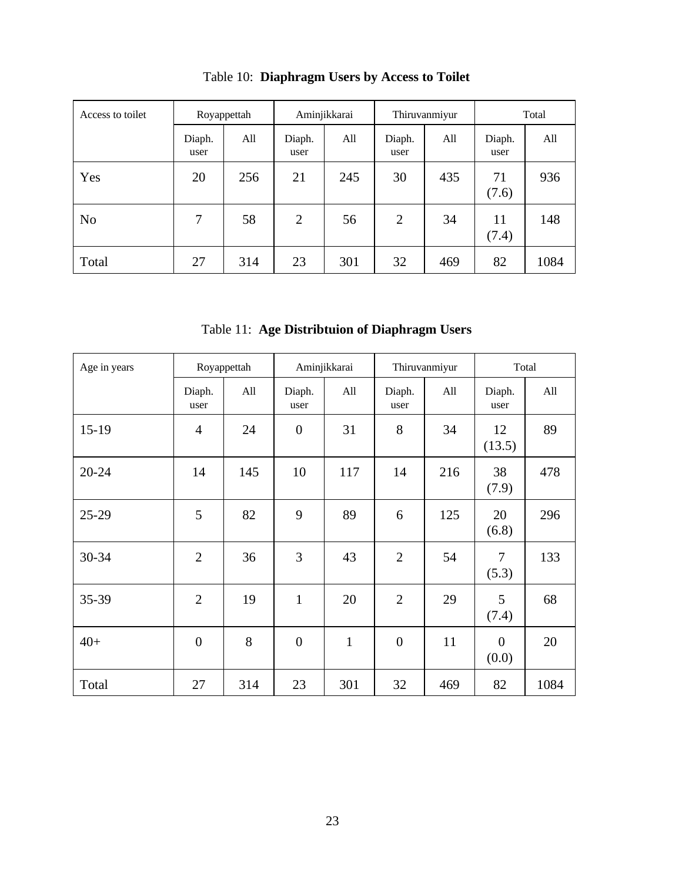| Access to toilet | Royappettah    |     |                | Aminjikkarai |                | Thiruvanmiyur |                | Total |  |  |
|------------------|----------------|-----|----------------|--------------|----------------|---------------|----------------|-------|--|--|
|                  | Diaph.<br>user | All | Diaph.<br>user | All          | Diaph.<br>user | All           | Diaph.<br>user | All   |  |  |
| Yes              | 20             | 256 | 21             | 245          | 30             | 435           | 71<br>(7.6)    | 936   |  |  |
| N <sub>0</sub>   | 7              | 58  | $\overline{2}$ | 56           | $\overline{2}$ | 34            | 11<br>(7.4)    | 148   |  |  |
| Total            | 27             | 314 | 23             | 301          | 32             | 469           | 82             | 1084  |  |  |

Table 10: **Diaphragm Users by Access to Toilet**

Table 11: **Age Distribtuion of Diaphragm Users**

| Age in years |                  | Royappettah |                  | Aminjikkarai |                | Thiruvanmiyur |                         | Total |  |
|--------------|------------------|-------------|------------------|--------------|----------------|---------------|-------------------------|-------|--|
|              | Diaph.<br>user   | All         | Diaph.<br>user   | All          | Diaph.<br>user | All           | Diaph.<br>user          | All   |  |
| $15-19$      | 4                | 24          | $\overline{0}$   | 31           | 8              | 34            | 12<br>(13.5)            | 89    |  |
| $20 - 24$    | 14               | 145         | 10               | 117          | 14             | 216           | 38<br>(7.9)             | 478   |  |
| $25-29$      | 5                | 82          | 9                | 89           | 6              | 125           | 20<br>(6.8)             | 296   |  |
| 30-34        | $\overline{2}$   | 36          | 3                | 43           | $\overline{2}$ | 54            | 7<br>(5.3)              | 133   |  |
| 35-39        | $\overline{2}$   | 19          | $\mathbf{1}$     | 20           | $\overline{2}$ | 29            | 5<br>(7.4)              | 68    |  |
| $40+$        | $\boldsymbol{0}$ | 8           | $\boldsymbol{0}$ | $\mathbf{1}$ | $\overline{0}$ | 11            | $\overline{0}$<br>(0.0) | 20    |  |
| Total        | 27               | 314         | 23               | 301          | 32             | 469           | 82                      | 1084  |  |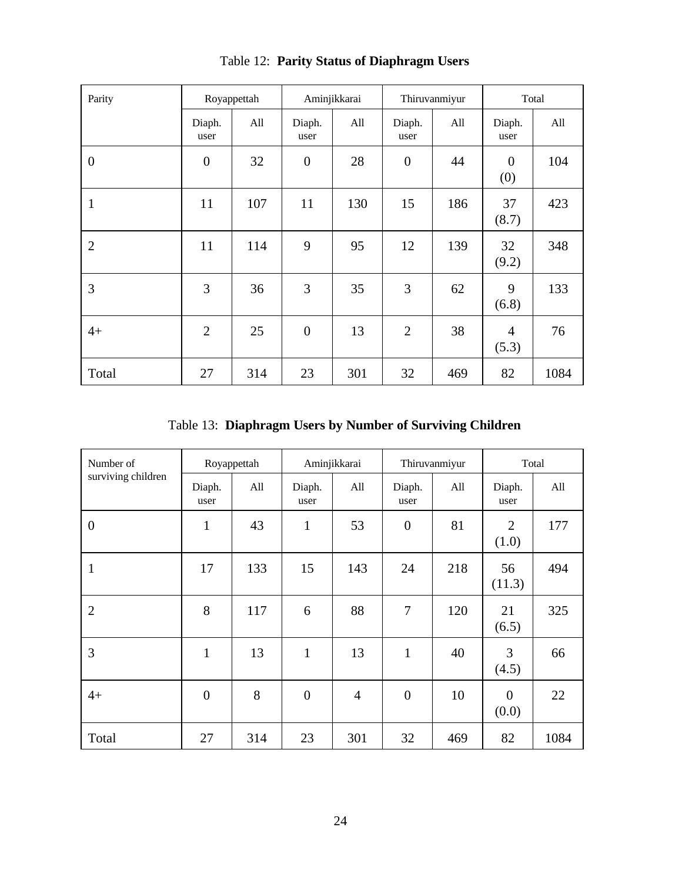| Parity           |                  | Royappettah |                | Aminjikkarai | Thiruvanmiyur    |     | Total                   |      |
|------------------|------------------|-------------|----------------|--------------|------------------|-----|-------------------------|------|
|                  | Diaph.<br>user   | All         | Diaph.<br>user | All          | Diaph.<br>user   | All | Diaph.<br>user          | All  |
| $\boldsymbol{0}$ | $\boldsymbol{0}$ | 32          | $\overline{0}$ | 28           | $\boldsymbol{0}$ | 44  | $\theta$<br>(0)         | 104  |
| $\mathbf{1}$     | 11               | 107         | 11             | 130          | 15               | 186 | 37<br>(8.7)             | 423  |
| $\overline{2}$   | 11               | 114         | 9              | 95           | 12               | 139 | 32<br>(9.2)             | 348  |
| 3                | 3                | 36          | 3              | 35           | 3                | 62  | 9<br>(6.8)              | 133  |
| $4+$             | $\overline{2}$   | 25          | $\overline{0}$ | 13           | $\overline{2}$   | 38  | $\overline{4}$<br>(5.3) | 76   |
| Total            | 27               | 314         | 23             | 301          | 32               | 469 | 82                      | 1084 |

Table 12: **Parity Status of Diaphragm Users**

Table 13: **Diaphragm Users by Number of Surviving Children**

| Number of          | Royappettah    |     | Aminjikkarai   |                | Thiruvanmiyur    |     |                         | Total |  |
|--------------------|----------------|-----|----------------|----------------|------------------|-----|-------------------------|-------|--|
| surviving children | Diaph.<br>user | All | Diaph.<br>user | All            | Diaph.<br>user   | All | Diaph.<br>user          | All   |  |
| $\boldsymbol{0}$   | $\mathbf{1}$   | 43  | $\mathbf{1}$   | 53             | $\boldsymbol{0}$ | 81  | 2<br>(1.0)              | 177   |  |
| $\mathbf{1}$       | 17             | 133 | 15             | 143            | 24               | 218 | 56<br>(11.3)            | 494   |  |
| $\overline{2}$     | 8              | 117 | 6              | 88             | 7                | 120 | 21<br>(6.5)             | 325   |  |
| 3                  | $\mathbf{1}$   | 13  | $\mathbf{1}$   | 13             | $\mathbf{1}$     | 40  | 3<br>(4.5)              | 66    |  |
| $4+$               | $\overline{0}$ | 8   | $\overline{0}$ | $\overline{4}$ | $\overline{0}$   | 10  | $\overline{0}$<br>(0.0) | 22    |  |
| Total              | 27             | 314 | 23             | 301            | 32               | 469 | 82                      | 1084  |  |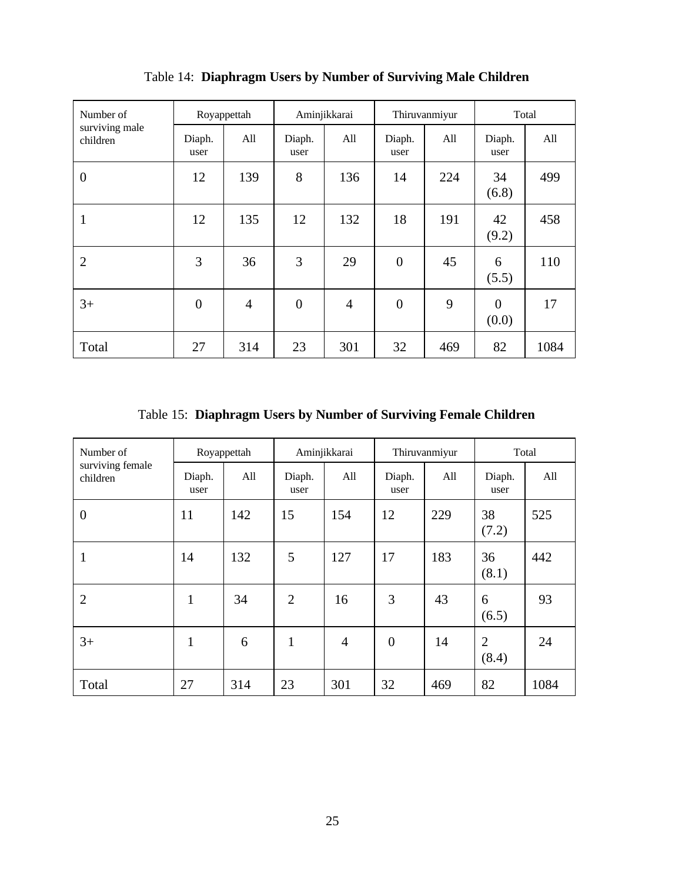| Number of                  | Royappettah      |                | Aminjikkarai   |                | Thiruvanmiyur  |     | Total                   |      |
|----------------------------|------------------|----------------|----------------|----------------|----------------|-----|-------------------------|------|
| surviving male<br>children | Diaph.<br>user   | All            | Diaph.<br>user | All            | Diaph.<br>user | All | Diaph.<br>user          | All  |
| $\overline{0}$             | 12               | 139            | 8              | 136            | 14             | 224 | 34<br>(6.8)             | 499  |
| 1                          | 12               | 135            | 12             | 132            | 18             | 191 | 42<br>(9.2)             | 458  |
| $\overline{2}$             | 3                | 36             | 3              | 29             | $\overline{0}$ | 45  | 6<br>(5.5)              | 110  |
| $3+$                       | $\boldsymbol{0}$ | $\overline{4}$ | $\overline{0}$ | $\overline{4}$ | $\overline{0}$ | 9   | $\overline{0}$<br>(0.0) | 17   |
| Total                      | 27               | 314            | 23             | 301            | 32             | 469 | 82                      | 1084 |

Table 14: **Diaphragm Users by Number of Surviving Male Children**

Table 15: **Diaphragm Users by Number of Surviving Female Children**

| Number of                    | Royappettah    |     | Aminjikkarai   |                | Thiruvanmiyur    |     | Total                   |      |
|------------------------------|----------------|-----|----------------|----------------|------------------|-----|-------------------------|------|
| surviving female<br>children | Diaph.<br>user | All | Diaph.<br>user | All            | Diaph.<br>user   | All | Diaph.<br>user          | All  |
| $\overline{0}$               | 11             | 142 | 15             | 154            | 12               | 229 | 38<br>(7.2)             | 525  |
| 1                            | 14             | 132 | 5              | 127            | 17               | 183 | 36<br>(8.1)             | 442  |
| $\overline{2}$               | $\mathbf{1}$   | 34  | $\overline{2}$ | 16             | 3                | 43  | 6<br>(6.5)              | 93   |
| $3+$                         | $\mathbf{1}$   | 6   | $\mathbf{1}$   | $\overline{4}$ | $\boldsymbol{0}$ | 14  | $\overline{2}$<br>(8.4) | 24   |
| Total                        | 27             | 314 | 23             | 301            | 32               | 469 | 82                      | 1084 |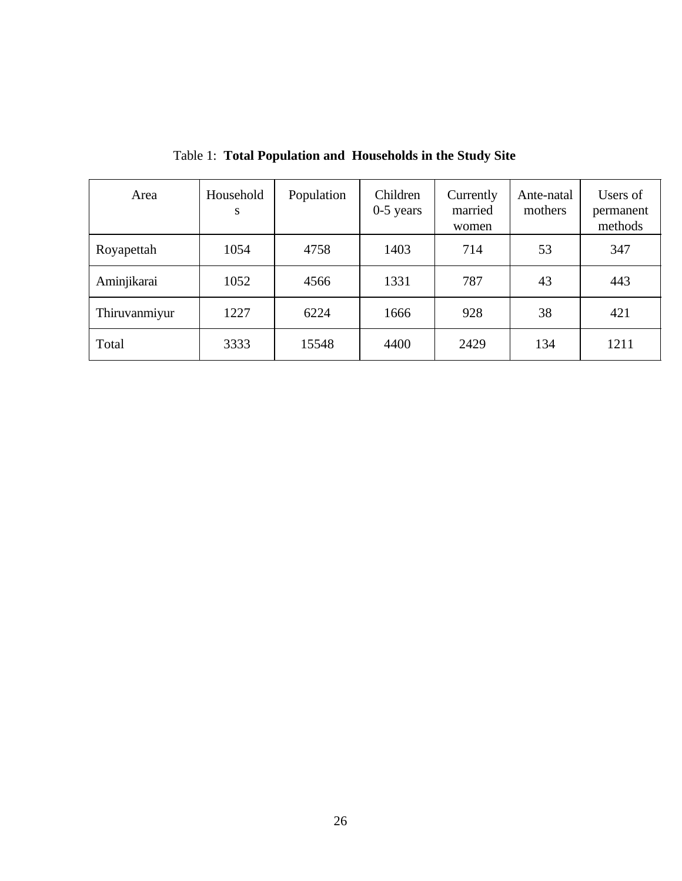| Area          | Household<br>S | Population | Children<br>$0-5$ years | Currently<br>married<br>women | Ante-natal<br>mothers | Users of<br>permanent<br>methods |
|---------------|----------------|------------|-------------------------|-------------------------------|-----------------------|----------------------------------|
| Royapettah    | 1054           | 4758       | 1403                    | 714                           | 53                    | 347                              |
| Aminjikarai   | 1052           | 4566       | 1331                    | 787                           | 43                    | 443                              |
| Thiruvanmiyur | 1227           | 6224       | 1666                    | 928                           | 38                    | 421                              |
| Total         | 3333           | 15548      | 4400                    | 2429                          | 134                   | 1211                             |

Table 1: **Total Population and Households in the Study Site**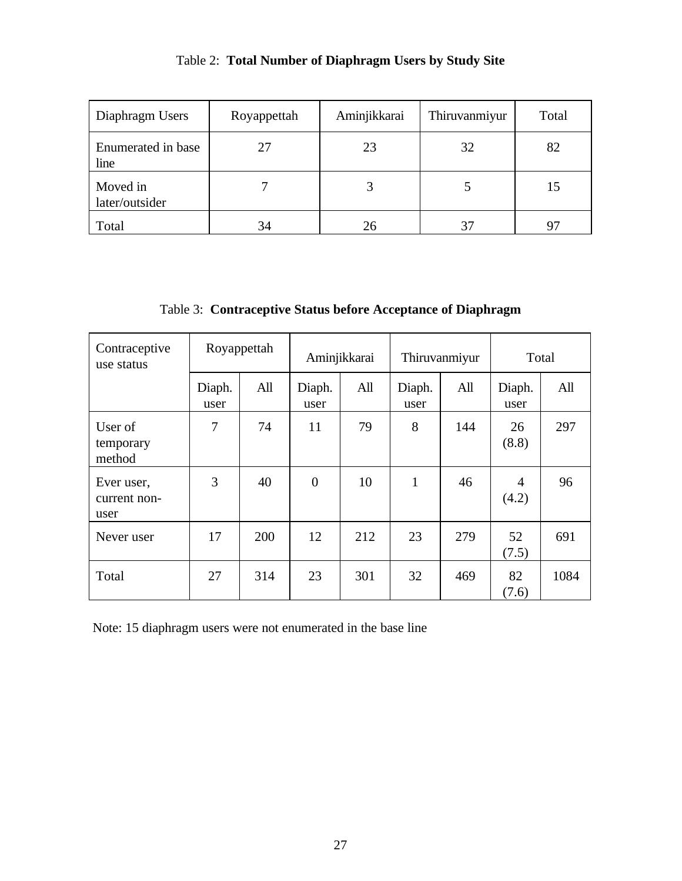| Table 2: Total Number of Diaphragm Users by Study Site |  |
|--------------------------------------------------------|--|
|                                                        |  |

| Diaphragm Users            | Royappettah | Aminjikkarai | Thiruvanmiyur | Total |
|----------------------------|-------------|--------------|---------------|-------|
| Enumerated in base<br>line | 27          | 23           | 32            | 82    |
| Moved in<br>later/outsider |             |              |               | 15    |
| Total                      | 34          | 26           | 37            |       |

Table 3: **Contraceptive Status before Acceptance of Diaphragm**

| Contraceptive<br>use status        |                | Royappettah |                | Aminjikkarai |                | Thiruvanmiyur |                         | Total |  |
|------------------------------------|----------------|-------------|----------------|--------------|----------------|---------------|-------------------------|-------|--|
|                                    | Diaph.<br>user | All         | Diaph.<br>user | All          | Diaph.<br>user | All           | Diaph.<br>user          | All   |  |
| User of<br>temporary<br>method     | 7              | 74          | 11             | 79           | 8              | 144           | 26<br>(8.8)             | 297   |  |
| Ever user,<br>current non-<br>user | 3              | 40          | $\overline{0}$ | 10           | $\mathbf{1}$   | 46            | $\overline{4}$<br>(4.2) | 96    |  |
| Never user                         | 17             | 200         | 12             | 212          | 23             | 279           | 52<br>(7.5)             | 691   |  |
| Total                              | 27             | 314         | 23             | 301          | 32             | 469           | 82<br>(7.6)             | 1084  |  |

Note: 15 diaphragm users were not enumerated in the base line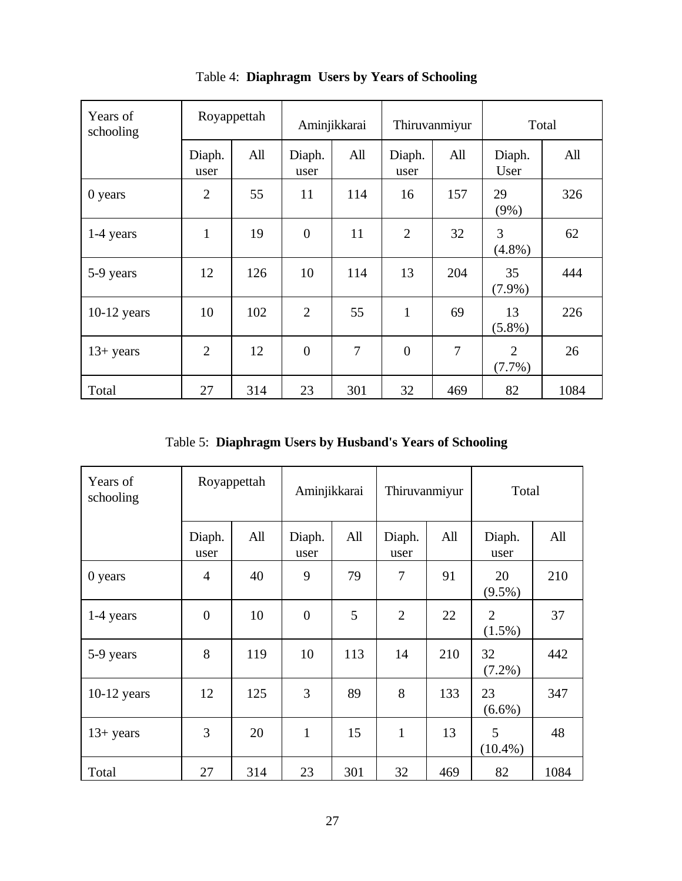| Years of<br>schooling |                | Royappettah | Aminjikkarai   |     | Thiruvanmiyur  |                | Total           |      |
|-----------------------|----------------|-------------|----------------|-----|----------------|----------------|-----------------|------|
|                       | Diaph.<br>user | All         | Diaph.<br>user | All | Diaph.<br>user | All            | Diaph.<br>User  | All  |
| 0 years               | $\overline{2}$ | 55          | 11             | 114 | 16             | 157            | 29<br>$(9\%)$   | 326  |
| 1-4 years             | $\mathbf{1}$   | 19          | $\overline{0}$ | 11  | $\overline{2}$ | 32             | 3<br>$(4.8\%)$  | 62   |
| 5-9 years             | 12             | 126         | 10             | 114 | 13             | 204            | 35<br>$(7.9\%)$ | 444  |
| $10-12$ years         | 10             | 102         | $\overline{2}$ | 55  | $\mathbf{1}$   | 69             | 13<br>$(5.8\%)$ | 226  |
| $13+ years$           | $\overline{2}$ | 12          | $\overline{0}$ | 7   | $\overline{0}$ | $\overline{7}$ | 2<br>$(7.7\%)$  | 26   |
| Total                 | 27             | 314         | 23             | 301 | 32             | 469            | 82              | 1084 |

Table 4: **Diaphragm Users by Years of Schooling**

Table 5: **Diaphragm Users by Husband's Years of Schooling**

| Years of<br>schooling | Royappettah    |     |                | Aminjikkarai |                | Thiruvanmiyur |                             | Total |  |
|-----------------------|----------------|-----|----------------|--------------|----------------|---------------|-----------------------------|-------|--|
|                       | Diaph.<br>user | All | Diaph.<br>user | All          | Diaph.<br>user | All           | Diaph.<br>user              | All   |  |
| 0 years               | $\overline{4}$ | 40  | 9              | 79           | 7              | 91            | 20<br>$(9.5\%)$             | 210   |  |
| 1-4 years             | $\overline{0}$ | 10  | $\overline{0}$ | 5            | $\overline{2}$ | 22            | $\overline{2}$<br>$(1.5\%)$ | 37    |  |
| 5-9 years             | 8              | 119 | 10             | 113          | 14             | 210           | 32<br>$(7.2\%)$             | 442   |  |
| $10-12$ years         | 12             | 125 | 3              | 89           | 8              | 133           | 23<br>$(6.6\%)$             | 347   |  |
| $13+$ years           | 3              | 20  | $\mathbf{1}$   | 15           | $\mathbf{1}$   | 13            | 5<br>$(10.4\%)$             | 48    |  |
| Total                 | 27             | 314 | 23             | 301          | 32             | 469           | 82                          | 1084  |  |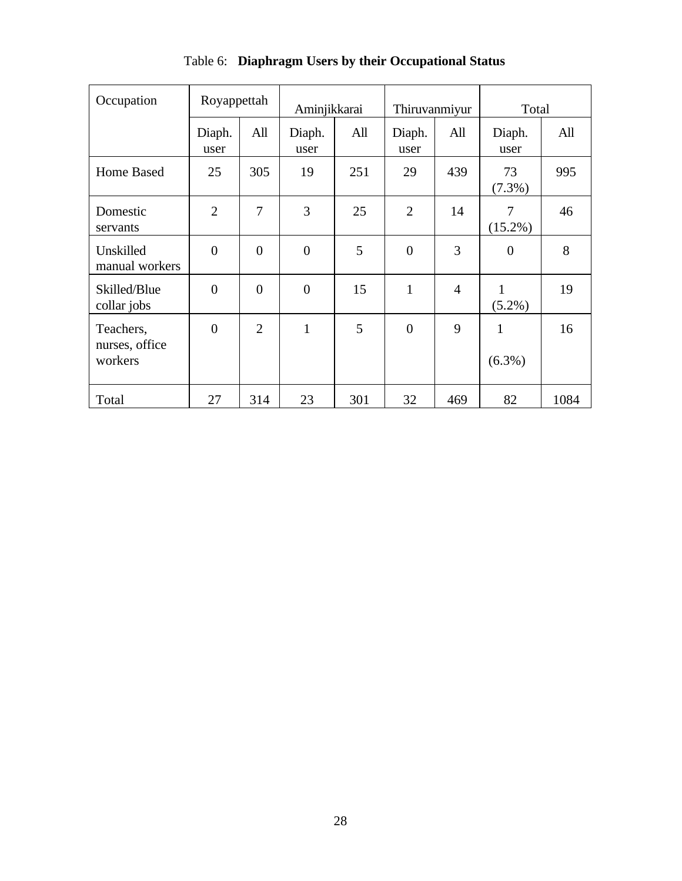| Occupation                             | Royappettah    |                |                  | Aminjikkarai |                | Thiruvanmiyur  |                           | Total |  |
|----------------------------------------|----------------|----------------|------------------|--------------|----------------|----------------|---------------------------|-------|--|
|                                        | Diaph.<br>user | All            | Diaph.<br>user   | All          | Diaph.<br>user | All            | Diaph.<br>user            | All   |  |
| Home Based                             | 25             | 305            | 19               | 251          | 29             | 439            | 73<br>$(7.3\%)$           | 995   |  |
| Domestic<br>servants                   | $\overline{2}$ | $\overline{7}$ | 3                | 25           | $\overline{2}$ | 14             | 7<br>$(15.2\%)$           | 46    |  |
| Unskilled<br>manual workers            | $\overline{0}$ | $\overline{0}$ | $\overline{0}$   | 5            | $\overline{0}$ | 3              | $\overline{0}$            | 8     |  |
| Skilled/Blue<br>collar jobs            | $\overline{0}$ | $\overline{0}$ | $\boldsymbol{0}$ | 15           | $\mathbf{1}$   | $\overline{4}$ | $\mathbf{1}$<br>$(5.2\%)$ | 19    |  |
| Teachers,<br>nurses, office<br>workers | $\theta$       | $\overline{2}$ | $\mathbf{1}$     | 5            | $\overline{0}$ | 9              | $\mathbf{1}$<br>$(6.3\%)$ | 16    |  |
| Total                                  | 27             | 314            | 23               | 301          | 32             | 469            | 82                        | 1084  |  |

Table 6: **Diaphragm Users by their Occupational Status**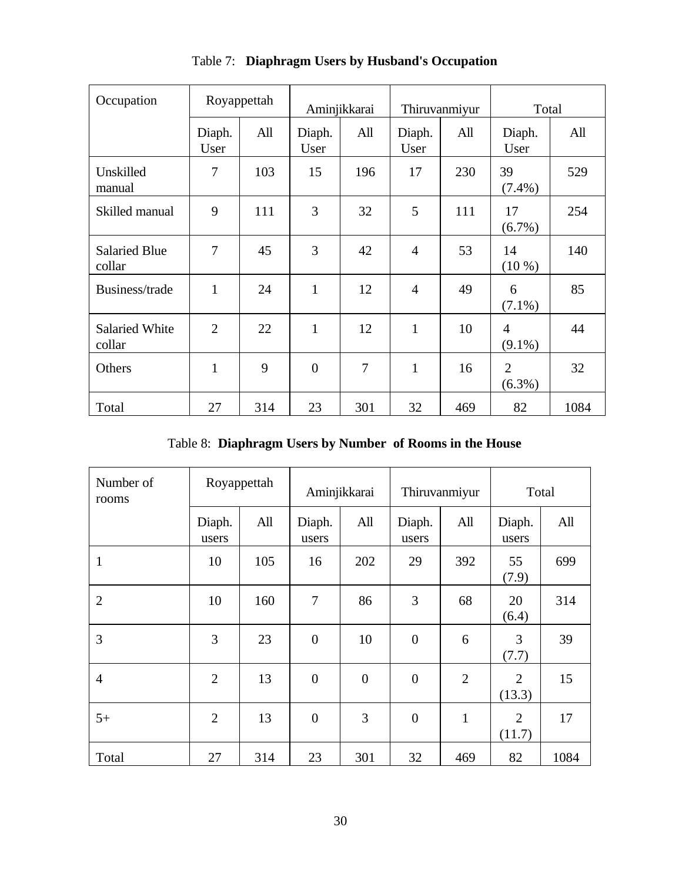| Occupation                      |                | Royappettah |                | Aminjikkarai | Thiruvanmiyur  |     | Total                       |      |
|---------------------------------|----------------|-------------|----------------|--------------|----------------|-----|-----------------------------|------|
|                                 | Diaph.<br>User | All         | Diaph.<br>User | All          | Diaph.<br>User | All | Diaph.<br>User              | All  |
| Unskilled<br>manual             | 7              | 103         | 15             | 196          | 17             | 230 | 39<br>$(7.4\%)$             | 529  |
| Skilled manual                  | 9              | 111         | 3              | 32           | 5              | 111 | 17<br>$(6.7\%)$             | 254  |
| <b>Salaried Blue</b><br>collar  | 7              | 45          | 3              | 42           | $\overline{4}$ | 53  | 14<br>$(10\%)$              | 140  |
| Business/trade                  | $\mathbf{1}$   | 24          | $\mathbf{1}$   | 12           | $\overline{4}$ | 49  | 6<br>$(7.1\%)$              | 85   |
| <b>Salaried White</b><br>collar | $\overline{2}$ | 22          | 1              | 12           | 1              | 10  | $\overline{4}$<br>$(9.1\%)$ | 44   |
| Others                          | $\mathbf{1}$   | 9           | $\overline{0}$ | 7            | $\mathbf{1}$   | 16  | $\overline{2}$<br>$(6.3\%)$ | 32   |
| Total                           | 27             | 314         | 23             | 301          | 32             | 469 | 82                          | 1084 |

Table 7: **Diaphragm Users by Husband's Occupation**

Table 8: **Diaphragm Users by Number of Rooms in the House**

| Number of<br>rooms |                 | Royappettah |                  | Aminjikkarai   |                  | Thiruvanmiyur  | Total           |      |
|--------------------|-----------------|-------------|------------------|----------------|------------------|----------------|-----------------|------|
|                    | Diaph.<br>users | All         | Diaph.<br>users  | All            | Diaph.<br>users  | All            | Diaph.<br>users | All  |
| $\mathbf{1}$       | 10              | 105         | 16               | 202            | 29               | 392            | 55<br>(7.9)     | 699  |
| $\overline{2}$     | 10              | 160         | 7                | 86             | 3                | 68             | 20<br>(6.4)     | 314  |
| 3                  | 3               | 23          | $\boldsymbol{0}$ | 10             | $\boldsymbol{0}$ | 6              | 3<br>(7.7)      | 39   |
| $\overline{4}$     | $\overline{2}$  | 13          | $\overline{0}$   | $\overline{0}$ | $\overline{0}$   | $\overline{2}$ | 2<br>(13.3)     | 15   |
| $5+$               | $\overline{2}$  | 13          | $\boldsymbol{0}$ | 3              | $\overline{0}$   | $\mathbf{1}$   | 2<br>(11.7)     | 17   |
| Total              | 27              | 314         | 23               | 301            | 32               | 469            | 82              | 1084 |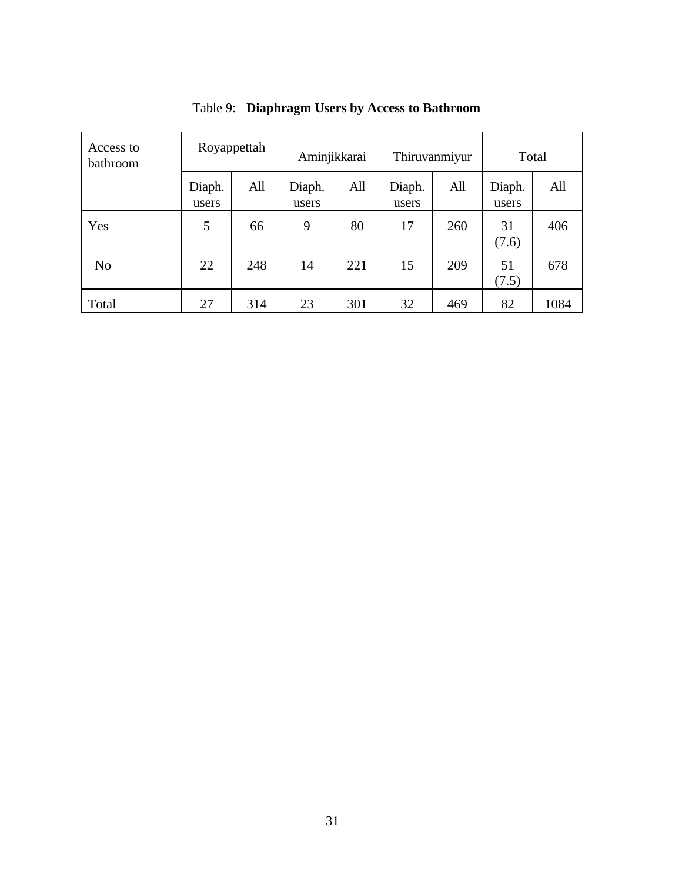| Access to<br>bathroom | Royappettah     |     | Aminjikkarai    |     | Thiruvanmiyur   |     | Total           |      |
|-----------------------|-----------------|-----|-----------------|-----|-----------------|-----|-----------------|------|
|                       | Diaph.<br>users | All | Diaph.<br>users | All | Diaph.<br>users | All | Diaph.<br>users | All  |
| Yes                   | 5               | 66  | 9               | 80  | 17              | 260 | 31<br>(7.6)     | 406  |
| N <sub>o</sub>        | 22              | 248 | 14              | 221 | 15              | 209 | 51<br>(7.5)     | 678  |
| Total                 | 27              | 314 | 23              | 301 | 32              | 469 | 82              | 1084 |

Table 9: **Diaphragm Users by Access to Bathroom**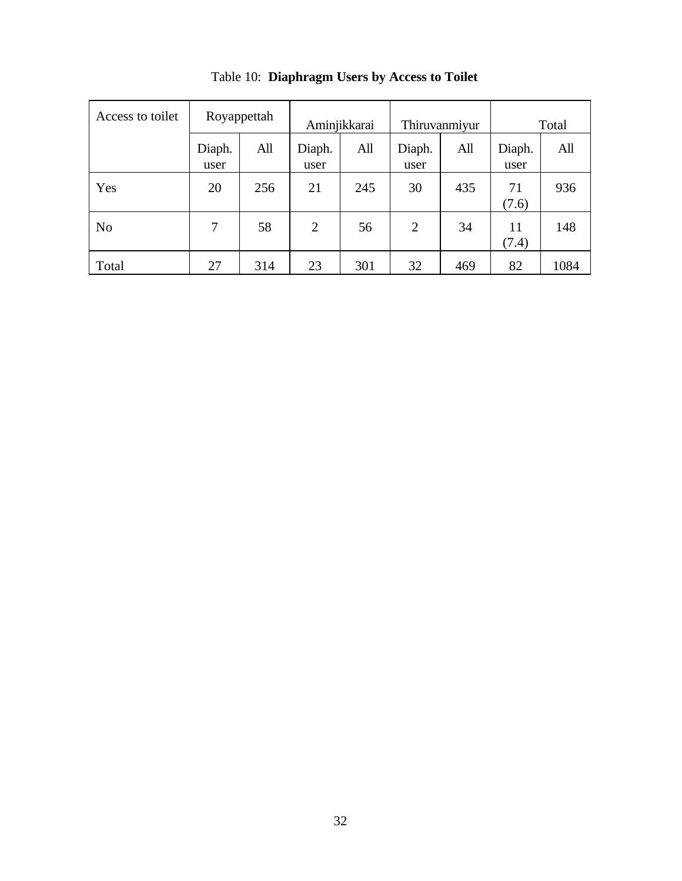| Access to toilet | Royappettah    |     | Aminjikkarai   |     | Thiruvanmiyur  |     | Total          |      |
|------------------|----------------|-----|----------------|-----|----------------|-----|----------------|------|
|                  | Diaph.<br>user | All | Diaph.<br>user | All | Diaph.<br>user | All | Diaph.<br>user | All  |
| Yes              | 20             | 256 | 21             | 245 | 30             | 435 | 71<br>(7.6)    | 936  |
| N <sub>0</sub>   | 7              | 58  | $\overline{2}$ | 56  | $\overline{2}$ | 34  | 11<br>(7.4)    | 148  |
| Total            | 27             | 314 | 23             | 301 | 32             | 469 | 82             | 1084 |

Table 10: **Diaphragm Users by Access to Toilet**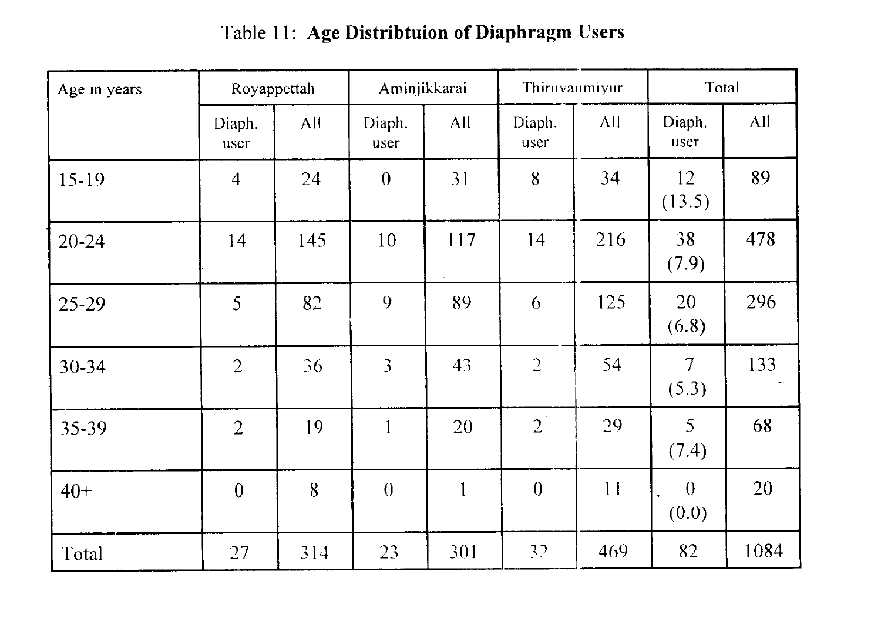## Table 11: **Age Distribtuion of Diaphragm Users**

| Age in years | Royappettah    |     | Aminjikkarai   |     |                | Thiruvanmiyur |                         | Total |  |  |
|--------------|----------------|-----|----------------|-----|----------------|---------------|-------------------------|-------|--|--|
|              | Diaph.<br>user | All | Diaph.<br>user | All | Diaph.<br>user | All           | Diaph.<br>user          | All   |  |  |
| $15-19$      | $\overline{4}$ | 24  | $\theta$       | 31  | 8              | 34            | 12<br>(13.5)            | 89    |  |  |
| $20 - 24$    | 14             | 145 | 10             | 117 | 14             | 216           | 38<br>(7.9)             | 478   |  |  |
| 25-29        | 5              | 82  | 9              | 89  | 6              | 125           | 20<br>(6.8)             | 296   |  |  |
| 30-34        | $\overline{2}$ | 36  | 3              | 43  | $\overline{2}$ | 54            | $\overline{7}$<br>(5.3) | 133   |  |  |
| 35-39        | $\overline{2}$ | 19  | $\mathbf{1}$   | 20  | $2^{\degree}$  | 29            | 5<br>(7.4)              | 68    |  |  |
| $40+$        | $\overline{0}$ | 8   | $\theta$       | 1   | $\theta$       | 11            | $\theta$<br>(0.0)       | 20    |  |  |
| Total        | 27             | 314 | 23             | 301 | 32             | 469           | 82                      | 1084  |  |  |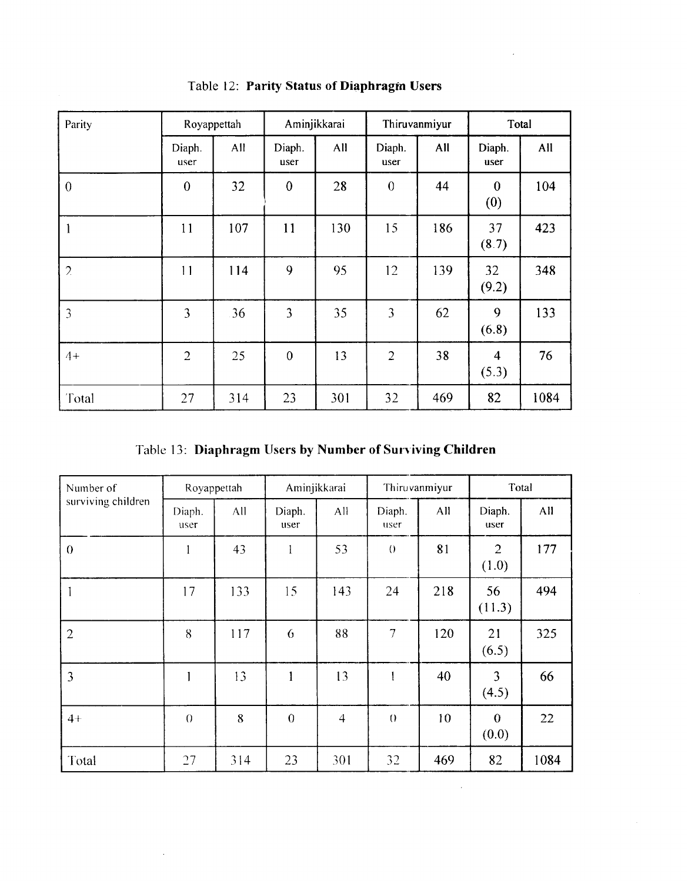| Parity           | Royappettah    |     | Aminjikkarai   |     | Thiruvanmiyur    |     | Total                            |      |
|------------------|----------------|-----|----------------|-----|------------------|-----|----------------------------------|------|
|                  | Diaph.<br>user | All | Diaph.<br>user | All | Diaph.<br>user   | All | Diaph.<br>user                   | All  |
| $\boldsymbol{0}$ | $\overline{0}$ | 32  | $\mathbf{0}$   | 28  | $\boldsymbol{0}$ | 44  | $\boldsymbol{0}$<br>(0)          | 104  |
|                  | 11             | 107 | 11             | 130 | 15               | 186 | 37<br>(8.7)                      | 423  |
| $\overline{2}$   | 11             | 114 | 9              | 95  | 12               | 139 | 32<br>(9.2)                      | 348  |
| 3                | 3              | 36  | 3              | 35  | 3                | 62  | 9<br>(6.8)                       | 133  |
| $4+$             | $\overline{2}$ | 25  | $\theta$       | 13  | $\overline{2}$   | 38  | $\overline{\mathbf{4}}$<br>(5.3) | 76   |
| Total            | 27             | 314 | 23             | 301 | 32               | 469 | 82                               | 1084 |

Table 12: **Parity Status of Diaphragin Users** 

 $\bar{a}$ 

Table 13: **Diaphragm llsers by Number of Surviving Children** 

| Number of          | Royappettah    |     | Aminjikkarai   |                | Thiruvanmiyur    |     | Total                     |      |
|--------------------|----------------|-----|----------------|----------------|------------------|-----|---------------------------|------|
| surviving children | Diaph.<br>user | All | Diaph.<br>user | All            | Diaph.<br>user   | All | Diaph.<br>user            | All  |
| $\theta$           |                | 43  | 1              | 53             | $\theta$         | 81  | $\overline{2}$<br>(1.0)   | 177  |
| -1                 | 17             | 133 | 15             | 143            | 24               | 218 | 56<br>(11.3)              | 494  |
| $\overline{2}$     | 8              | 117 | 6              | 88             | $7\phantom{.}$   | 120 | 21<br>(6.5)               | 325  |
| $\overline{3}$     |                | 13  | 1              | 13             |                  | 40  | 3<br>(4.5)                | 66   |
| $4+$               | $\theta$       | 8   | $\overline{0}$ | $\overline{4}$ | $\left( \right)$ | 10  | $\boldsymbol{0}$<br>(0.0) | 22   |
| Total              | 27             | 314 | 23             | 301            | 32               | 469 | 82                        | 1084 |

 $\bar{\mathcal{A}}$ 

 $\sim 400$  km s  $^{-1}$